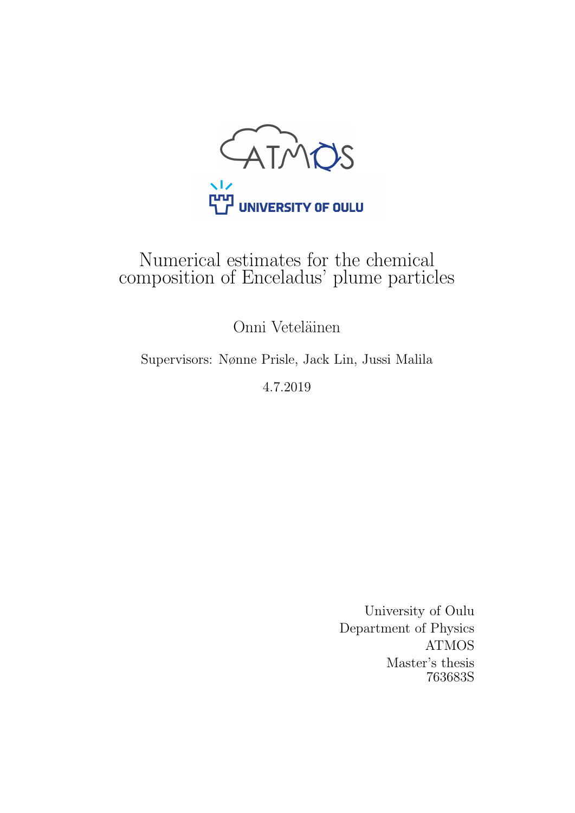

# Numerical estimates for the chemical composition of Enceladus' plume particles

Onni Veteläinen

Supervisors: Nønne Prisle, Jack Lin, Jussi Malila

4.7.2019

University of Oulu Department of Physics ATMOS Master's thesis 763683S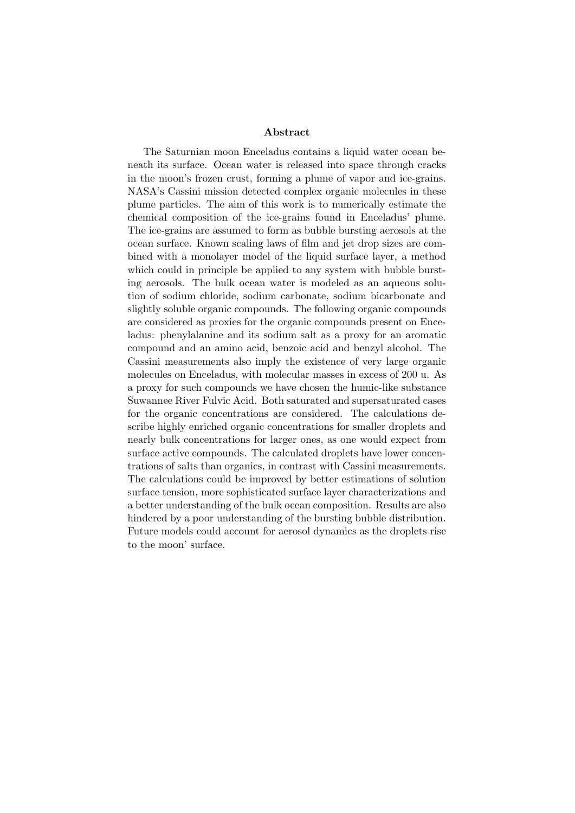#### Abstract

The Saturnian moon Enceladus contains a liquid water ocean beneath its surface. Ocean water is released into space through cracks in the moon's frozen crust, forming a plume of vapor and ice-grains. NASA's Cassini mission detected complex organic molecules in these plume particles. The aim of this work is to numerically estimate the chemical composition of the ice-grains found in Enceladus' plume. The ice-grains are assumed to form as bubble bursting aerosols at the ocean surface. Known scaling laws of film and jet drop sizes are combined with a monolayer model of the liquid surface layer, a method which could in principle be applied to any system with bubble bursting aerosols. The bulk ocean water is modeled as an aqueous solution of sodium chloride, sodium carbonate, sodium bicarbonate and slightly soluble organic compounds. The following organic compounds are considered as proxies for the organic compounds present on Enceladus: phenylalanine and its sodium salt as a proxy for an aromatic compound and an amino acid, benzoic acid and benzyl alcohol. The Cassini measurements also imply the existence of very large organic molecules on Enceladus, with molecular masses in excess of 200 u. As a proxy for such compounds we have chosen the humic-like substance Suwannee River Fulvic Acid. Both saturated and supersaturated cases for the organic concentrations are considered. The calculations describe highly enriched organic concentrations for smaller droplets and nearly bulk concentrations for larger ones, as one would expect from surface active compounds. The calculated droplets have lower concentrations of salts than organics, in contrast with Cassini measurements. The calculations could be improved by better estimations of solution surface tension, more sophisticated surface layer characterizations and a better understanding of the bulk ocean composition. Results are also hindered by a poor understanding of the bursting bubble distribution. Future models could account for aerosol dynamics as the droplets rise to the moon' surface.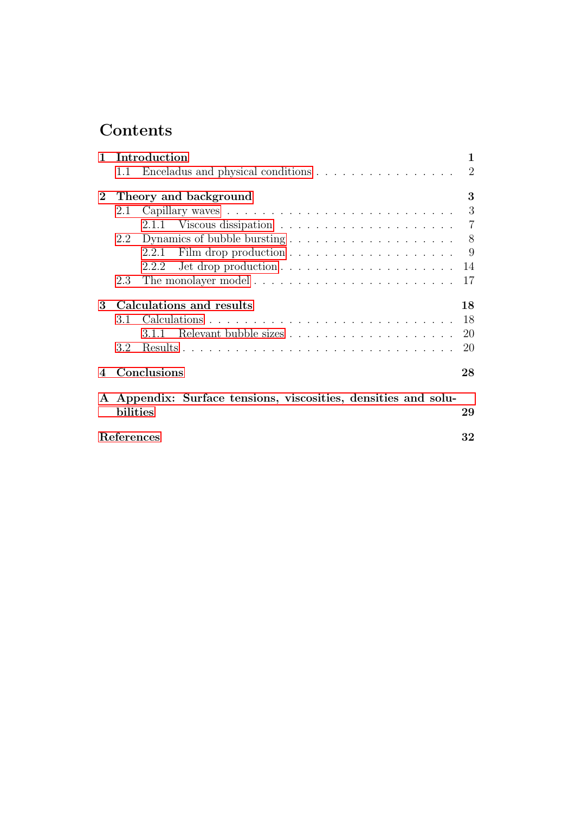# Contents

| $\mathbf{1}$                                                   | Introduction<br>$\mathbf{1}$ |                                   |                |  |  |  |
|----------------------------------------------------------------|------------------------------|-----------------------------------|----------------|--|--|--|
|                                                                | 1.1                          | Enceladus and physical conditions | $\overline{2}$ |  |  |  |
| $\mathbf{2}$                                                   |                              | Theory and background             | 3              |  |  |  |
|                                                                | 2.1                          |                                   | 3              |  |  |  |
|                                                                |                              |                                   | $\overline{7}$ |  |  |  |
|                                                                | 2.2                          |                                   | 8              |  |  |  |
|                                                                |                              | 2.2.1                             | 9              |  |  |  |
|                                                                |                              | 2.2.2                             | 14             |  |  |  |
|                                                                | 2.3                          |                                   | 17             |  |  |  |
| 3                                                              |                              | Calculations and results          | 18             |  |  |  |
|                                                                | 3.1                          |                                   | 18             |  |  |  |
|                                                                |                              | 3.1.1                             | 20             |  |  |  |
|                                                                | 3.2                          |                                   | 20             |  |  |  |
| 4                                                              |                              | Conclusions                       | 28             |  |  |  |
| A Appendix: Surface tensions, viscosities, densities and solu- |                              |                                   |                |  |  |  |
|                                                                | bilities                     |                                   | 29             |  |  |  |
| References<br>32                                               |                              |                                   |                |  |  |  |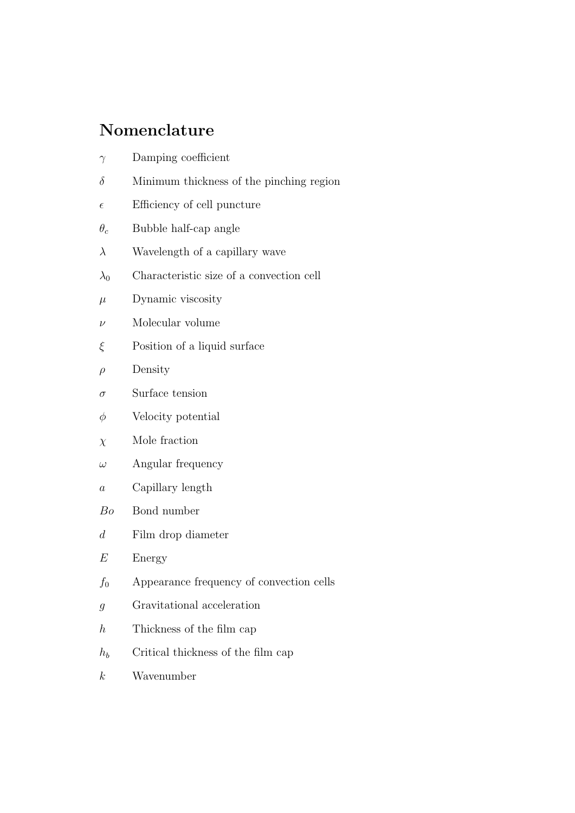# Nomenclature

- $\gamma$  Damping coefficient
- $\delta$  Minimum thickness of the pinching region
- $\epsilon$  Efficiency of cell puncture
- $\theta_c$  Bubble half-cap angle
- $\lambda$  Wavelength of a capillary wave
- $\lambda_0$  Characteristic size of a convection cell
- $\mu$  Dynamic viscosity
- $\nu$  Molecular volume
- $\xi$  Position of a liquid surface
- $\rho$  Density
- $\sigma$  Surface tension
- $\phi$  Velocity potential
- $\chi$  Mole fraction
- $\omega$  Angular frequency
- a Capillary length
- Bo Bond number
- d Film drop diameter
- $E$  Energy
- $f_0$  Appearance frequency of convection cells
- g Gravitational acceleration
- $h$  Thickness of the film cap
- $h_b$  Critical thickness of the film cap
- k Wavenumber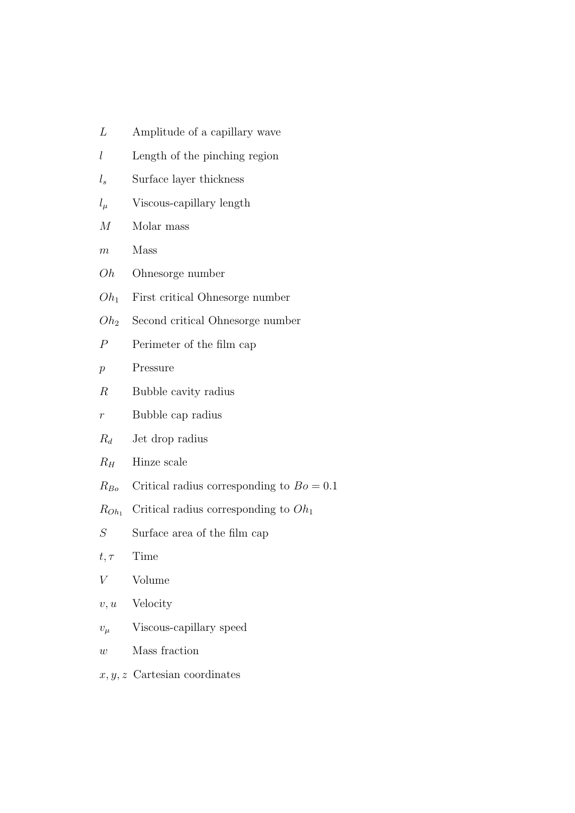| L                | Amplitude of a capillary wave               |
|------------------|---------------------------------------------|
| l                | Length of the pinching region               |
| $l_s$            | Surface layer thickness                     |
| $l_\mu$          | Viscous-capillary length                    |
| $\,$             | Molar mass                                  |
| $\,m$            | Mass                                        |
| Oh               | Ohnesorge number                            |
| $Oh_1$           | First critical Ohnesorge number             |
| $Oh_2$           | Second critical Ohnesorge number            |
| $\boldsymbol{P}$ | Perimeter of the film cap                   |
| $\mathcal{p}$    | Pressure                                    |
| $\,$ R           | Bubble cavity radius                        |
| $\,r$            | Bubble cap radius                           |
| $R_d$            | Jet drop radius                             |
| $R_H$            | Hinze scale                                 |
| $R_{Bo}$         | Critical radius corresponding to $Bo = 0.1$ |
| $R_{Oh_1}$       | Critical radius corresponding to $Oh1$      |
| S                | Surface area of the film cap                |
| $t,\tau$         | Time                                        |
| V                | Volume                                      |
| v, u             | Velocity                                    |
| $v_\mu$          | Viscous-capillary speed                     |
| w                | Mass fraction                               |

 $x, y, z$  Cartesian coordinates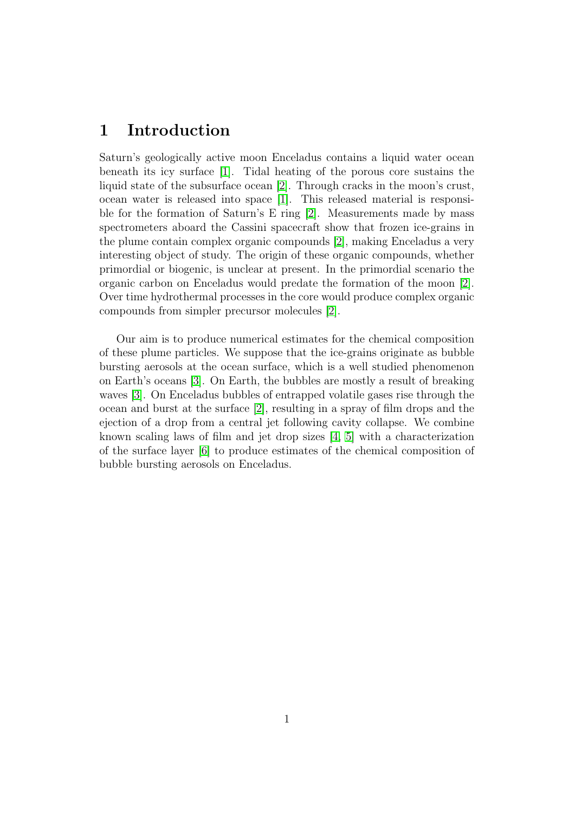# <span id="page-5-0"></span>1 Introduction

Saturn's geologically active moon Enceladus contains a liquid water ocean beneath its icy surface [\[1\]](#page-36-1). Tidal heating of the porous core sustains the liquid state of the subsurface ocean [\[2\]](#page-36-2). Through cracks in the moon's crust, ocean water is released into space [\[1\]](#page-36-1). This released material is responsible for the formation of Saturn's E ring [\[2\]](#page-36-2). Measurements made by mass spectrometers aboard the Cassini spacecraft show that frozen ice-grains in the plume contain complex organic compounds [\[2\]](#page-36-2), making Enceladus a very interesting object of study. The origin of these organic compounds, whether primordial or biogenic, is unclear at present. In the primordial scenario the organic carbon on Enceladus would predate the formation of the moon [\[2\]](#page-36-2). Over time hydrothermal processes in the core would produce complex organic compounds from simpler precursor molecules [\[2\]](#page-36-2).

Our aim is to produce numerical estimates for the chemical composition of these plume particles. We suppose that the ice-grains originate as bubble bursting aerosols at the ocean surface, which is a well studied phenomenon on Earth's oceans [\[3\]](#page-36-3). On Earth, the bubbles are mostly a result of breaking waves [\[3\]](#page-36-3). On Enceladus bubbles of entrapped volatile gases rise through the ocean and burst at the surface [\[2\]](#page-36-2), resulting in a spray of film drops and the ejection of a drop from a central jet following cavity collapse. We combine known scaling laws of film and jet drop sizes [\[4,](#page-36-4) [5\]](#page-36-5) with a characterization of the surface layer [\[6\]](#page-36-6) to produce estimates of the chemical composition of bubble bursting aerosols on Enceladus.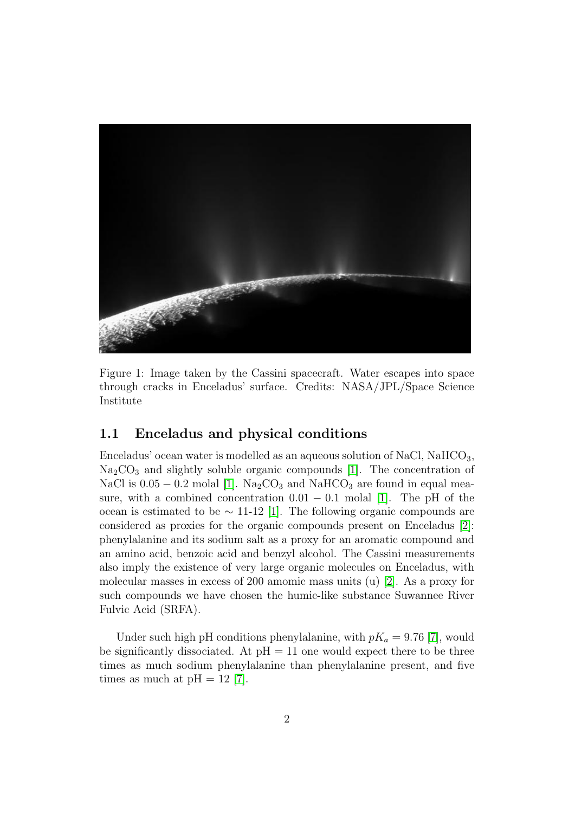

Figure 1: Image taken by the Cassini spacecraft. Water escapes into space through cracks in Enceladus' surface. Credits: NASA/JPL/Space Science Institute

## <span id="page-6-0"></span>1.1 Enceladus and physical conditions

Enceladus' ocean water is modelled as an aqueous solution of NaCl, NaHCO3,  $Na<sub>2</sub>CO<sub>3</sub>$  and slightly soluble organic compounds [\[1\]](#page-36-1). The concentration of NaCl is  $0.05 - 0.2$  molal [\[1\]](#page-36-1). Na<sub>2</sub>CO<sub>3</sub> and NaHCO<sub>3</sub> are found in equal measure, with a combined concentration  $0.01 - 0.1$  molal [\[1\]](#page-36-1). The pH of the ocean is estimated to be  $\sim$  11-12 [\[1\]](#page-36-1). The following organic compounds are considered as proxies for the organic compounds present on Enceladus [\[2\]](#page-36-2): phenylalanine and its sodium salt as a proxy for an aromatic compound and an amino acid, benzoic acid and benzyl alcohol. The Cassini measurements also imply the existence of very large organic molecules on Enceladus, with molecular masses in excess of 200 amomic mass units (u) [\[2\]](#page-36-2). As a proxy for such compounds we have chosen the humic-like substance Suwannee River Fulvic Acid (SRFA).

Under such high pH conditions phenylalanine, with  $pK_a = 9.76$  [\[7\]](#page-36-7), would be significantly dissociated. At  $pH = 11$  one would expect there to be three times as much sodium phenylalanine than phenylalanine present, and five times as much at  $pH = 12$  [\[7\]](#page-36-7).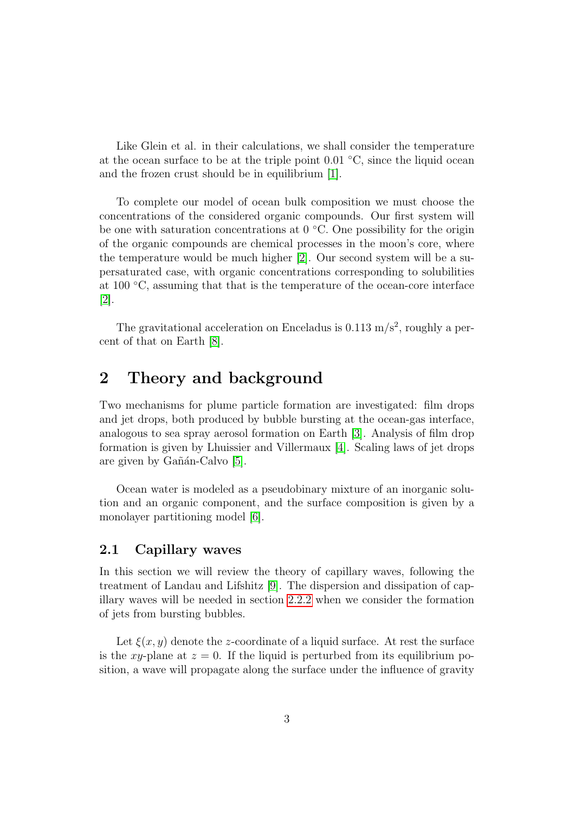Like Glein et al. in their calculations, we shall consider the temperature at the ocean surface to be at the triple point  $0.01 \degree C$ , since the liquid ocean and the frozen crust should be in equilibrium [\[1\]](#page-36-1).

To complete our model of ocean bulk composition we must choose the concentrations of the considered organic compounds. Our first system will be one with saturation concentrations at  $0 °C$ . One possibility for the origin of the organic compounds are chemical processes in the moon's core, where the temperature would be much higher [\[2\]](#page-36-2). Our second system will be a supersaturated case, with organic concentrations corresponding to solubilities at 100 ◦C, assuming that that is the temperature of the ocean-core interface [\[2\]](#page-36-2).

The gravitational acceleration on Enceladus is  $0.113 \text{ m/s}^2$ , roughly a percent of that on Earth [\[8\]](#page-36-8).

## <span id="page-7-0"></span>2 Theory and background

Two mechanisms for plume particle formation are investigated: film drops and jet drops, both produced by bubble bursting at the ocean-gas interface, analogous to sea spray aerosol formation on Earth [\[3\]](#page-36-3). Analysis of film drop formation is given by Lhuissier and Villermaux [\[4\]](#page-36-4). Scaling laws of jet drops are given by Gañán-Calvo [\[5\]](#page-36-5).

Ocean water is modeled as a pseudobinary mixture of an inorganic solution and an organic component, and the surface composition is given by a monolayer partitioning model [\[6\]](#page-36-6).

## <span id="page-7-1"></span>2.1 Capillary waves

In this section we will review the theory of capillary waves, following the treatment of Landau and Lifshitz [\[9\]](#page-37-0). The dispersion and dissipation of capillary waves will be needed in section [2.2.2](#page-18-0) when we consider the formation of jets from bursting bubbles.

Let  $\xi(x, y)$  denote the z-coordinate of a liquid surface. At rest the surface is the xy-plane at  $z = 0$ . If the liquid is perturbed from its equilibrium position, a wave will propagate along the surface under the influence of gravity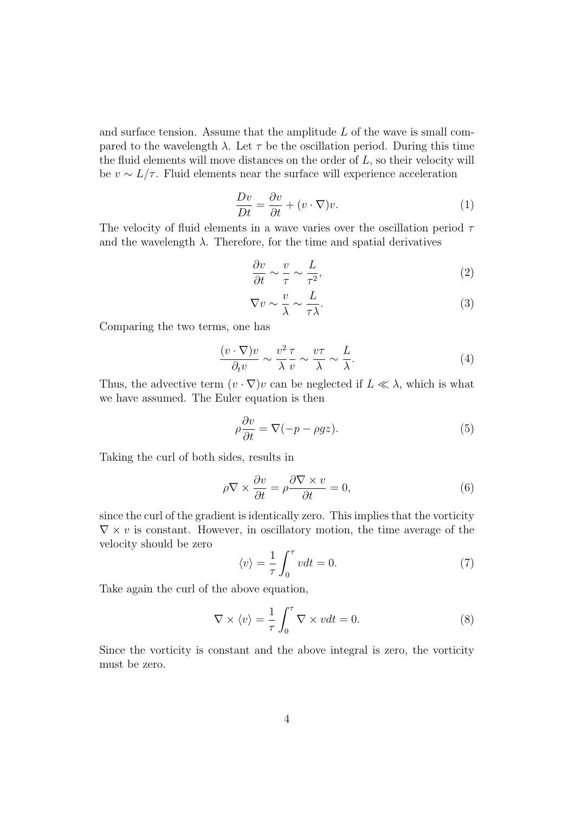and surface tension. Assume that the amplitude  $L$  of the wave is small compared to the wavelength  $\lambda$ . Let  $\tau$  be the oscillation period. During this time the fluid elements will move distances on the order of  $L$ , so their velocity will be  $v \sim L/\tau$ . Fluid elements near the surface will experience acceleration

$$
\frac{Dv}{Dt} = \frac{\partial v}{\partial t} + (v \cdot \nabla)v.
$$
 (1)

The velocity of fluid elements in a wave varies over the oscillation period  $\tau$ and the wavelength  $\lambda$ . Therefore, for the time and spatial derivatives

$$
\frac{\partial v}{\partial t} \sim \frac{v}{\tau} \sim \frac{L}{\tau^2},\tag{2}
$$

$$
\nabla v \sim \frac{v}{\lambda} \sim \frac{L}{\tau \lambda}.\tag{3}
$$

Comparing the two terms, one has

$$
\frac{(v \cdot \nabla)v}{\partial_t v} \sim \frac{v^2 \tau}{\lambda v} \sim \frac{v\tau}{\lambda} \sim \frac{L}{\lambda}.
$$
 (4)

Thus, the advective term  $(v \cdot \nabla)v$  can be neglected if  $L \ll \lambda$ , which is what we have assumed. The Euler equation is then

$$
\rho \frac{\partial v}{\partial t} = \nabla(-p - \rho gz). \tag{5}
$$

Taking the curl of both sides, results in

$$
\rho \nabla \times \frac{\partial v}{\partial t} = \rho \frac{\partial \nabla \times v}{\partial t} = 0, \tag{6}
$$

since the curl of the gradient is identically zero. This implies that the vorticity  $\nabla \times v$  is constant. However, in oscillatory motion, the time average of the velocity should be zero

$$
\langle v \rangle = \frac{1}{\tau} \int_0^{\tau} v dt = 0. \tag{7}
$$

Take again the curl of the above equation,

$$
\nabla \times \langle v \rangle = \frac{1}{\tau} \int_0^{\tau} \nabla \times v dt = 0.
$$
 (8)

Since the vorticity is constant and the above integral is zero, the vorticity must be zero.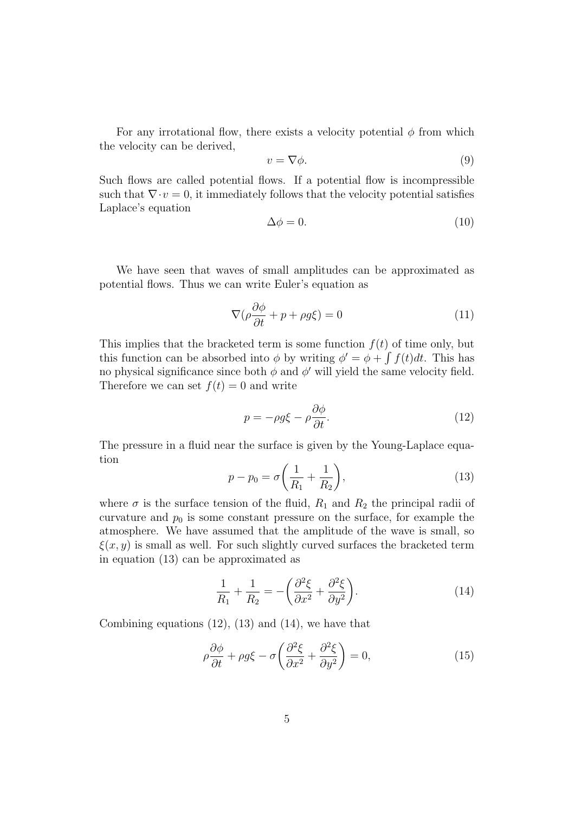For any irrotational flow, there exists a velocity potential  $\phi$  from which the velocity can be derived,

$$
v = \nabla \phi. \tag{9}
$$

Such flows are called potential flows. If a potential flow is incompressible such that  $\nabla \cdot v = 0$ , it immediately follows that the velocity potential satisfies Laplace's equation

$$
\Delta \phi = 0. \tag{10}
$$

We have seen that waves of small amplitudes can be approximated as potential flows. Thus we can write Euler's equation as

$$
\nabla(\rho \frac{\partial \phi}{\partial t} + p + \rho g \xi) = 0 \tag{11}
$$

This implies that the bracketed term is some function  $f(t)$  of time only, but this function can be absorbed into  $\phi$  by writing  $\phi' = \phi + \int f(t)dt$ . This has no physical significance since both  $\phi$  and  $\phi'$  will yield the same velocity field. Therefore we can set  $f(t) = 0$  and write

$$
p = -\rho g \xi - \rho \frac{\partial \phi}{\partial t}.
$$
\n(12)

The pressure in a fluid near the surface is given by the Young-Laplace equation

<span id="page-9-0"></span>
$$
p - p_0 = \sigma \left(\frac{1}{R_1} + \frac{1}{R_2}\right),
$$
\n(13)

where  $\sigma$  is the surface tension of the fluid,  $R_1$  and  $R_2$  the principal radii of curvature and  $p_0$  is some constant pressure on the surface, for example the atmosphere. We have assumed that the amplitude of the wave is small, so  $\xi(x, y)$  is small as well. For such slightly curved surfaces the bracketed term in equation (13) can be approximated as

$$
\frac{1}{R_1} + \frac{1}{R_2} = -\left(\frac{\partial^2 \xi}{\partial x^2} + \frac{\partial^2 \xi}{\partial y^2}\right).
$$
 (14)

Combining equations (12), (13) and (14), we have that

$$
\rho \frac{\partial \phi}{\partial t} + \rho g \xi - \sigma \left( \frac{\partial^2 \xi}{\partial x^2} + \frac{\partial^2 \xi}{\partial y^2} \right) = 0, \tag{15}
$$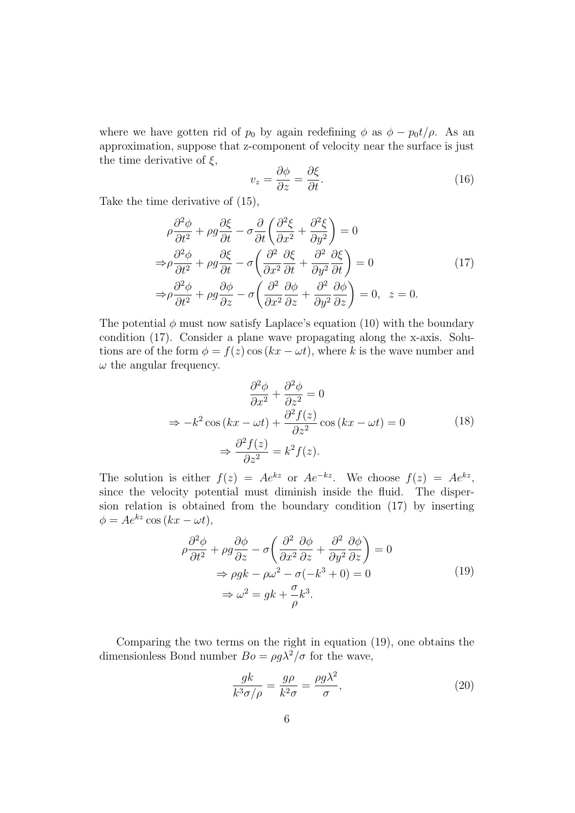where we have gotten rid of  $p_0$  by again redefining  $\phi$  as  $\phi - p_0 t/\rho$ . As an approximation, suppose that z-component of velocity near the surface is just the time derivative of  $\xi$ ,

$$
v_z = \frac{\partial \phi}{\partial z} = \frac{\partial \xi}{\partial t}.
$$
\n(16)

Take the time derivative of (15),

$$
\rho \frac{\partial^2 \phi}{\partial t^2} + \rho g \frac{\partial \xi}{\partial t} - \sigma \frac{\partial}{\partial t} \left( \frac{\partial^2 \xi}{\partial x^2} + \frac{\partial^2 \xi}{\partial y^2} \right) = 0
$$
  
\n
$$
\Rightarrow \rho \frac{\partial^2 \phi}{\partial t^2} + \rho g \frac{\partial \xi}{\partial t} - \sigma \left( \frac{\partial^2}{\partial x^2} \frac{\partial \xi}{\partial t} + \frac{\partial^2}{\partial y^2} \frac{\partial \xi}{\partial t} \right) = 0
$$
 (17)  
\n
$$
\Rightarrow \rho \frac{\partial^2 \phi}{\partial t^2} + \rho g \frac{\partial \phi}{\partial z} - \sigma \left( \frac{\partial^2}{\partial x^2} \frac{\partial \phi}{\partial z} + \frac{\partial^2}{\partial y^2} \frac{\partial \phi}{\partial z} \right) = 0, \quad z = 0.
$$

The potential  $\phi$  must now satisfy Laplace's equation (10) with the boundary condition (17). Consider a plane wave propagating along the x-axis. Solutions are of the form  $\phi = f(z) \cos(kx - \omega t)$ , where k is the wave number and  $\omega$  the angular frequency.

$$
\frac{\partial^2 \phi}{\partial x^2} + \frac{\partial^2 \phi}{\partial z^2} = 0
$$
  
\n
$$
\Rightarrow -k^2 \cos(kx - \omega t) + \frac{\partial^2 f(z)}{\partial z^2} \cos(kx - \omega t) = 0
$$
 (18)  
\n
$$
\Rightarrow \frac{\partial^2 f(z)}{\partial z^2} = k^2 f(z).
$$

The solution is either  $f(z) = Ae^{kz}$  or  $Ae^{-kz}$ . We choose  $f(z) = Ae^{kz}$ , since the velocity potential must diminish inside the fluid. The dispersion relation is obtained from the boundary condition (17) by inserting  $\phi = Ae^{kz} \cos(kx - \omega t),$ 

$$
\rho \frac{\partial^2 \phi}{\partial t^2} + \rho g \frac{\partial \phi}{\partial z} - \sigma \left( \frac{\partial^2}{\partial x^2} \frac{\partial \phi}{\partial z} + \frac{\partial^2}{\partial y^2} \frac{\partial \phi}{\partial z} \right) = 0
$$
  
\n
$$
\Rightarrow \rho g k - \rho \omega^2 - \sigma (-k^3 + 0) = 0
$$
  
\n
$$
\Rightarrow \omega^2 = g k + \frac{\sigma}{\rho} k^3.
$$
\n(19)

Comparing the two terms on the right in equation (19), one obtains the dimensionless Bond number  $Bo = \rho g \lambda^2 / \sigma$  for the wave,

$$
\frac{gk}{k^3\sigma/\rho} = \frac{g\rho}{k^2\sigma} = \frac{\rho g\lambda^2}{\sigma},\tag{20}
$$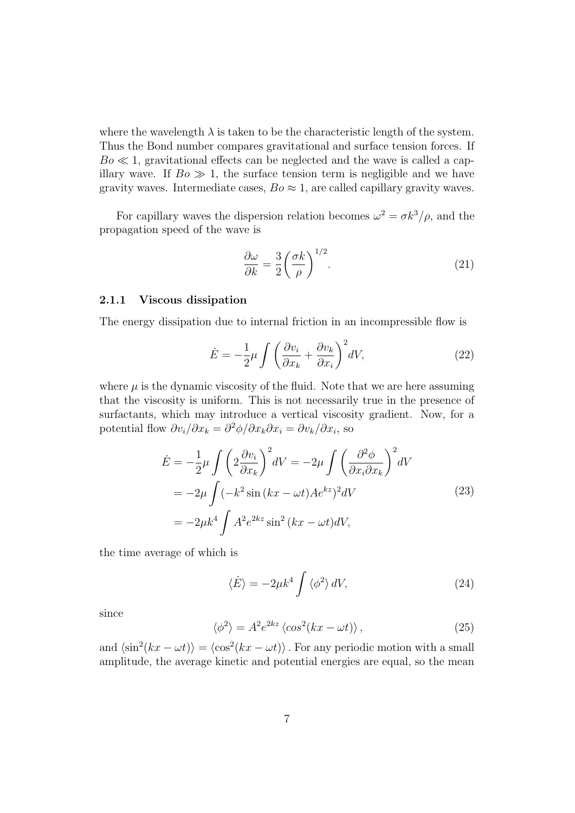where the wavelength  $\lambda$  is taken to be the characteristic length of the system. Thus the Bond number compares gravitational and surface tension forces. If  $Bo \ll 1$ , gravitational effects can be neglected and the wave is called a capillary wave. If  $Bo \gg 1$ , the surface tension term is negligible and we have gravity waves. Intermediate cases,  $Bo \approx 1$ , are called capillary gravity waves.

For capillary waves the dispersion relation becomes  $\omega^2 = \sigma k^3/\rho$ , and the propagation speed of the wave is

<span id="page-11-1"></span>
$$
\frac{\partial \omega}{\partial k} = \frac{3}{2} \left( \frac{\sigma k}{\rho} \right)^{1/2}.
$$
 (21)

#### <span id="page-11-0"></span>2.1.1 Viscous dissipation

The energy dissipation due to internal friction in an incompressible flow is

$$
\dot{E} = -\frac{1}{2}\mu \int \left(\frac{\partial v_i}{\partial x_k} + \frac{\partial v_k}{\partial x_i}\right)^2 dV,\tag{22}
$$

where  $\mu$  is the dynamic viscosity of the fluid. Note that we are here assuming that the viscosity is uniform. This is not necessarily true in the presence of surfactants, which may introduce a vertical viscosity gradient. Now, for a potential flow  $\partial v_i/\partial x_k = \partial^2 \phi / \partial x_k \partial x_i = \partial v_k / \partial x_i$ , so

$$
\dot{E} = -\frac{1}{2}\mu \int \left(2\frac{\partial v_i}{\partial x_k}\right)^2 dV = -2\mu \int \left(\frac{\partial^2 \phi}{\partial x_i \partial x_k}\right)^2 dV
$$
  
=  $-2\mu \int (-k^2 \sin (kx - \omega t) A e^{kz})^2 dV$  (23)  
=  $-2\mu k^4 \int A^2 e^{2kz} \sin^2 (kx - \omega t) dV$ ,

the time average of which is

$$
\langle \dot{E} \rangle = -2\mu k^4 \int \langle \phi^2 \rangle \, dV,\tag{24}
$$

since

$$
\langle \phi^2 \rangle = A^2 e^{2kz} \langle \cos^2(kx - \omega t) \rangle, \qquad (25)
$$

and  $\langle \sin^2(kx - \omega t) \rangle = \langle \cos^2(kx - \omega t) \rangle$ . For any periodic motion with a small amplitude, the average kinetic and potential energies are equal, so the mean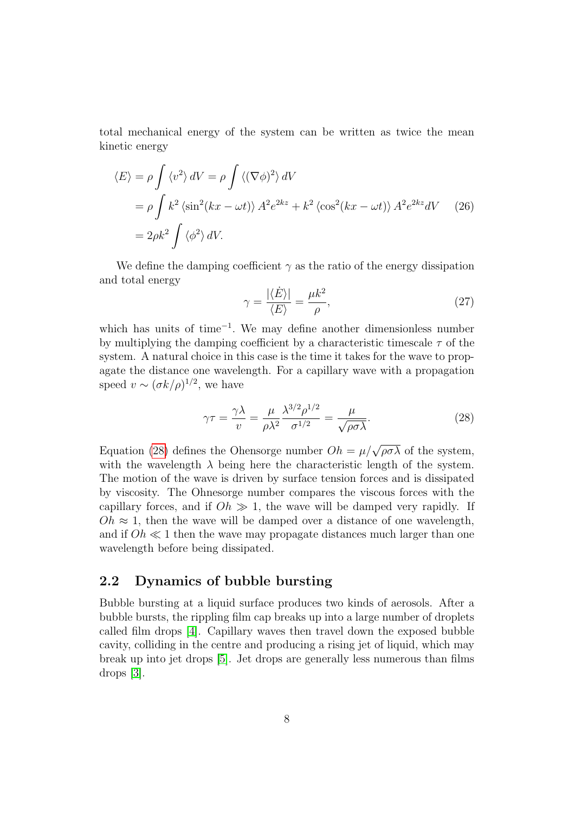total mechanical energy of the system can be written as twice the mean kinetic energy

$$
\langle E \rangle = \rho \int \langle v^2 \rangle \, dV = \rho \int \langle (\nabla \phi)^2 \rangle \, dV
$$
  
=  $\rho \int k^2 \langle \sin^2(kx - \omega t) \rangle A^2 e^{2kz} + k^2 \langle \cos^2(kx - \omega t) \rangle A^2 e^{2kz} dV$  (26)  
=  $2\rho k^2 \int \langle \phi^2 \rangle \, dV.$ 

We define the damping coefficient  $\gamma$  as the ratio of the energy dissipation and total energy

<span id="page-12-2"></span>
$$
\gamma = \frac{|\langle \dot{E} \rangle|}{\langle E \rangle} = \frac{\mu k^2}{\rho},\tag{27}
$$

which has units of time<sup>−</sup><sup>1</sup> . We may define another dimensionless number by multiplying the damping coefficient by a characteristic timescale  $\tau$  of the system. A natural choice in this case is the time it takes for the wave to propagate the distance one wavelength. For a capillary wave with a propagation speed  $v \sim (\sigma k/\rho)^{1/2}$ , we have

<span id="page-12-1"></span>
$$
\gamma \tau = \frac{\gamma \lambda}{v} = \frac{\mu}{\rho \lambda^2} \frac{\lambda^{3/2} \rho^{1/2}}{\sigma^{1/2}} = \frac{\mu}{\sqrt{\rho \sigma \lambda}}.
$$
 (28)

Equation [\(28\)](#page-12-1) defines the Ohensorge number  $Oh = \mu / \sqrt{\rho \sigma \lambda}$  of the system, with the wavelength  $\lambda$  being here the characteristic length of the system. The motion of the wave is driven by surface tension forces and is dissipated by viscosity. The Ohnesorge number compares the viscous forces with the capillary forces, and if  $Oh \gg 1$ , the wave will be damped very rapidly. If  $Oh \approx 1$ , then the wave will be damped over a distance of one wavelength, and if  $Oh \ll 1$  then the wave may propagate distances much larger than one wavelength before being dissipated.

## <span id="page-12-0"></span>2.2 Dynamics of bubble bursting

Bubble bursting at a liquid surface produces two kinds of aerosols. After a bubble bursts, the rippling film cap breaks up into a large number of droplets called film drops [\[4\]](#page-36-4). Capillary waves then travel down the exposed bubble cavity, colliding in the centre and producing a rising jet of liquid, which may break up into jet drops [\[5\]](#page-36-5). Jet drops are generally less numerous than films drops [\[3\]](#page-36-3).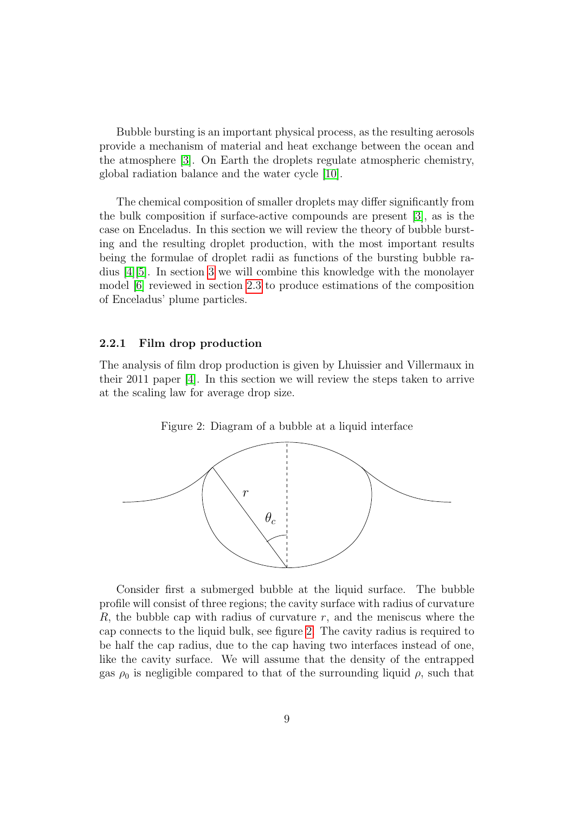Bubble bursting is an important physical process, as the resulting aerosols provide a mechanism of material and heat exchange between the ocean and the atmosphere [\[3\]](#page-36-3). On Earth the droplets regulate atmospheric chemistry, global radiation balance and the water cycle [\[10\]](#page-37-1).

The chemical composition of smaller droplets may differ significantly from the bulk composition if surface-active compounds are present [\[3\]](#page-36-3), as is the case on Enceladus. In this section we will review the theory of bubble bursting and the resulting droplet production, with the most important results being the formulae of droplet radii as functions of the bursting bubble radius [\[4\]](#page-36-4)[\[5\]](#page-36-5). In section [3](#page-22-0) we will combine this knowledge with the monolayer model [\[6\]](#page-36-6) reviewed in section [2.3](#page-21-0) to produce estimations of the composition of Enceladus' plume particles.

#### <span id="page-13-0"></span>2.2.1 Film drop production

The analysis of film drop production is given by Lhuissier and Villermaux in their 2011 paper [\[4\]](#page-36-4). In this section we will review the steps taken to arrive at the scaling law for average drop size.



<span id="page-13-1"></span>

Consider first a submerged bubble at the liquid surface. The bubble profile will consist of three regions; the cavity surface with radius of curvature  $R$ , the bubble cap with radius of curvature r, and the meniscus where the cap connects to the liquid bulk, see figure [2.](#page-13-1) The cavity radius is required to be half the cap radius, due to the cap having two interfaces instead of one, like the cavity surface. We will assume that the density of the entrapped gas  $\rho_0$  is negligible compared to that of the surrounding liquid  $\rho$ , such that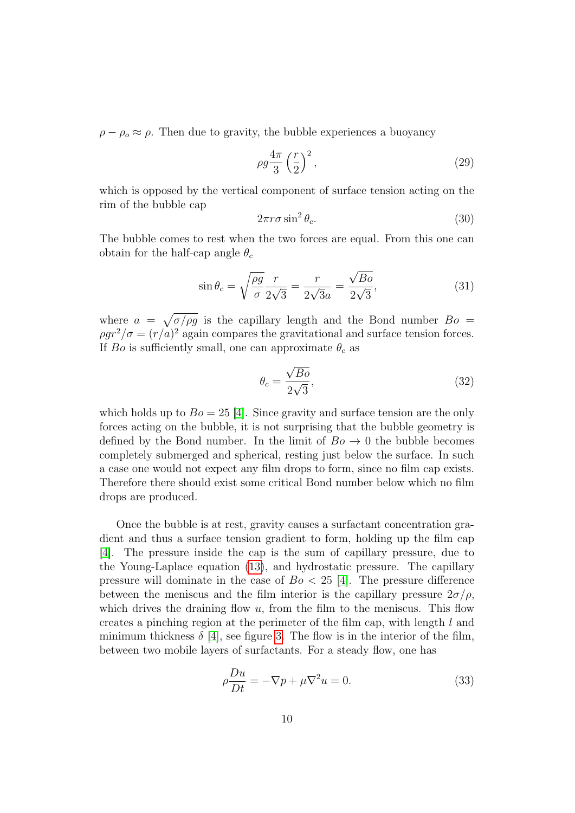$\rho - \rho_o \approx \rho$ . Then due to gravity, the bubble experiences a buoyancy

$$
\rho g \frac{4\pi}{3} \left(\frac{r}{2}\right)^2,\tag{29}
$$

which is opposed by the vertical component of surface tension acting on the rim of the bubble cap

$$
2\pi r \sigma \sin^2 \theta_c. \tag{30}
$$

The bubble comes to rest when the two forces are equal. From this one can obtain for the half-cap angle  $\theta_c$ 

$$
\sin \theta_c = \sqrt{\frac{\rho g}{\sigma}} \frac{r}{2\sqrt{3}} = \frac{r}{2\sqrt{3}a} = \frac{\sqrt{Bo}}{2\sqrt{3}},\tag{31}
$$

where  $a = \sqrt{\frac{\sigma}{\rho g}}$  is the capillary length and the Bond number  $Bo =$  $\rho g r^2/\sigma = (r/a)^2$  again compares the gravitational and surface tension forces. If Bo is sufficiently small, one can approximate  $\theta_c$  as

<span id="page-14-0"></span>
$$
\theta_c = \frac{\sqrt{Bo}}{2\sqrt{3}},\tag{32}
$$

which holds up to  $Bo = 25$  [\[4\]](#page-36-4). Since gravity and surface tension are the only forces acting on the bubble, it is not surprising that the bubble geometry is defined by the Bond number. In the limit of  $Bo \rightarrow 0$  the bubble becomes completely submerged and spherical, resting just below the surface. In such a case one would not expect any film drops to form, since no film cap exists. Therefore there should exist some critical Bond number below which no film drops are produced.

Once the bubble is at rest, gravity causes a surfactant concentration gradient and thus a surface tension gradient to form, holding up the film cap [\[4\]](#page-36-4). The pressure inside the cap is the sum of capillary pressure, due to the Young-Laplace equation [\(13\)](#page-9-0), and hydrostatic pressure. The capillary pressure will dominate in the case of  $Bo < 25$  [\[4\]](#page-36-4). The pressure difference between the meniscus and the film interior is the capillary pressure  $2\sigma/\rho$ , which drives the draining flow  $u$ , from the film to the meniscus. This flow creates a pinching region at the perimeter of the film cap, with length l and minimum thickness  $\delta$  [\[4\]](#page-36-4), see figure [3.](#page-15-0) The flow is in the interior of the film, between two mobile layers of surfactants. For a steady flow, one has

$$
\rho \frac{Du}{Dt} = -\nabla p + \mu \nabla^2 u = 0.
$$
\n(33)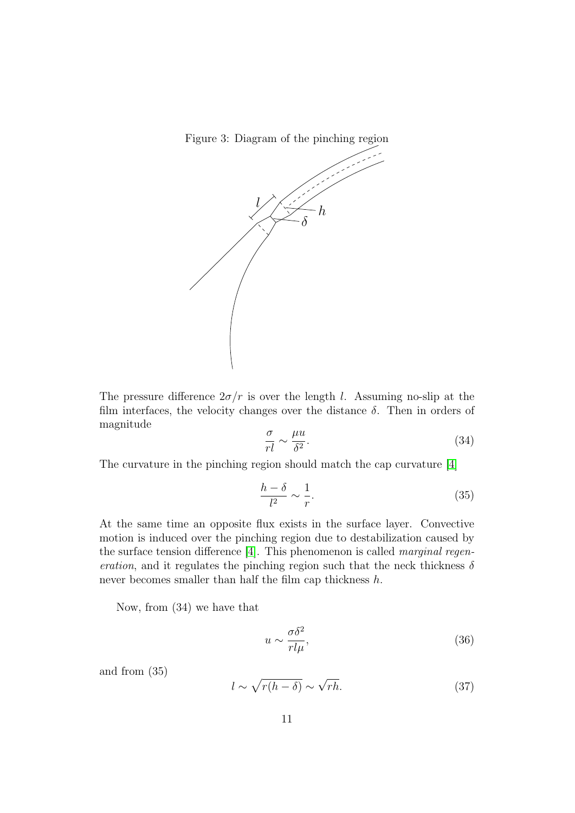Figure 3: Diagram of the pinching region

<span id="page-15-0"></span>

The pressure difference  $2\sigma/r$  is over the length l. Assuming no-slip at the film interfaces, the velocity changes over the distance  $\delta$ . Then in orders of magnitude

$$
\frac{\sigma}{rl} \sim \frac{\mu u}{\delta^2}.\tag{34}
$$

The curvature in the pinching region should match the cap curvature [\[4\]](#page-36-4)

$$
\frac{h-\delta}{l^2} \sim \frac{1}{r}.\tag{35}
$$

At the same time an opposite flux exists in the surface layer. Convective motion is induced over the pinching region due to destabilization caused by the surface tension difference [\[4\]](#page-36-4). This phenomenon is called marginal regeneration, and it regulates the pinching region such that the neck thickness  $\delta$ never becomes smaller than half the film cap thickness  $h$ .

Now, from (34) we have that

$$
u \sim \frac{\sigma \delta^2}{rl\mu},\tag{36}
$$

and from (35)

$$
l \sim \sqrt{r(h-\delta)} \sim \sqrt{rh}.\tag{37}
$$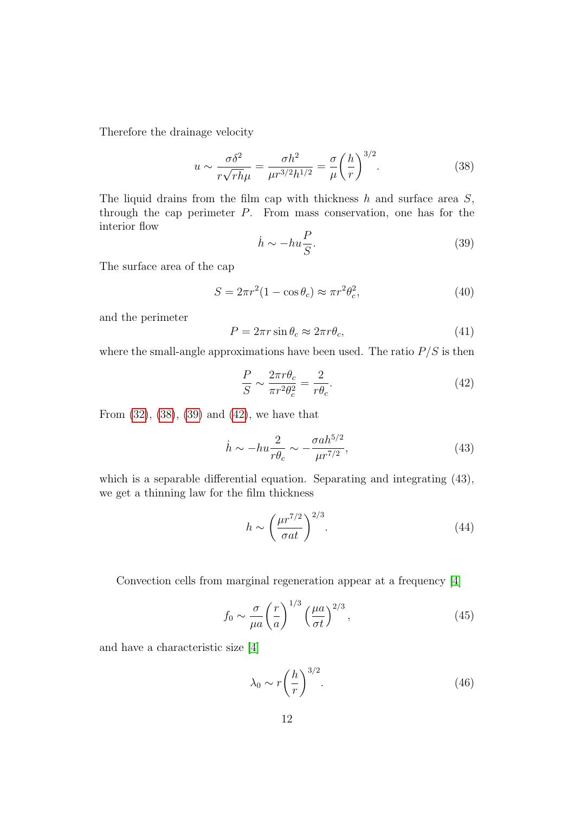Therefore the drainage velocity

<span id="page-16-0"></span>
$$
u \sim \frac{\sigma \delta^2}{r \sqrt{rh}\mu} = \frac{\sigma h^2}{\mu r^{3/2} h^{1/2}} = \frac{\sigma}{\mu} \left(\frac{h}{r}\right)^{3/2}.
$$
 (38)

The liquid drains from the film cap with thickness  $h$  and surface area  $S$ , through the cap perimeter P. From mass conservation, one has for the interior flow

<span id="page-16-1"></span>
$$
\dot{h} \sim -hu\frac{P}{S}.\tag{39}
$$

The surface area of the cap

$$
S = 2\pi r^2 (1 - \cos \theta_c) \approx \pi r^2 \theta_c^2,\tag{40}
$$

and the perimeter

<span id="page-16-3"></span>
$$
P = 2\pi r \sin \theta_c \approx 2\pi r \theta_c,\tag{41}
$$

where the small-angle approximations have been used. The ratio  $P/S$  is then

<span id="page-16-2"></span>
$$
\frac{P}{S} \sim \frac{2\pi r \theta_c}{\pi r^2 \theta_c^2} = \frac{2}{r\theta_c}.
$$
\n(42)

From [\(32\)](#page-14-0), [\(38\)](#page-16-0), [\(39\)](#page-16-1) and [\(42\)](#page-16-2), we have that

$$
\dot{h} \sim -hu\frac{2}{r\theta_c} \sim -\frac{\sigma a h^{5/2}}{\mu r^{7/2}},\tag{43}
$$

which is a separable differential equation. Separating and integrating (43), we get a thinning law for the film thickness

<span id="page-16-6"></span>
$$
h \sim \left(\frac{\mu r^{7/2}}{\sigma at}\right)^{2/3}.\tag{44}
$$

Convection cells from marginal regeneration appear at a frequency [\[4\]](#page-36-4)

<span id="page-16-4"></span>
$$
f_0 \sim \frac{\sigma}{\mu a} \left(\frac{r}{a}\right)^{1/3} \left(\frac{\mu a}{\sigma t}\right)^{2/3},\tag{45}
$$

and have a characteristic size [\[4\]](#page-36-4)

<span id="page-16-5"></span>
$$
\lambda_0 \sim r \left(\frac{h}{r}\right)^{3/2}.\tag{46}
$$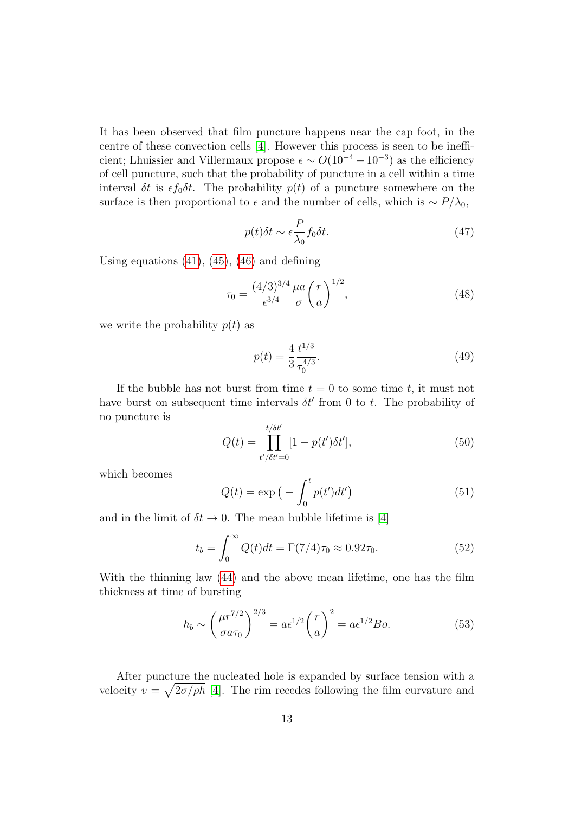It has been observed that film puncture happens near the cap foot, in the centre of these convection cells [\[4\]](#page-36-4). However this process is seen to be inefficient; Lhuissier and Villermaux propose  $\epsilon \sim O(10^{-4} - 10^{-3})$  as the efficiency of cell puncture, such that the probability of puncture in a cell within a time interval  $\delta t$  is  $\epsilon f_0 \delta t$ . The probability  $p(t)$  of a puncture somewhere on the surface is then proportional to  $\epsilon$  and the number of cells, which is ~  $P/\lambda_0$ ,

$$
p(t)\delta t \sim \epsilon \frac{P}{\lambda_0} f_0 \delta t. \tag{47}
$$

Using equations  $(41)$ ,  $(45)$ ,  $(46)$  and defining

$$
\tau_0 = \frac{(4/3)^{3/4}}{\epsilon^{3/4}} \frac{\mu a}{\sigma} \left(\frac{r}{a}\right)^{1/2},\tag{48}
$$

we write the probability  $p(t)$  as

$$
p(t) = \frac{4}{3} \frac{t^{1/3}}{\tau_0^{4/3}}.\tag{49}
$$

If the bubble has not burst from time  $t = 0$  to some time t, it must not have burst on subsequent time intervals  $\delta t'$  from 0 to t. The probability of no puncture is

$$
Q(t) = \prod_{t'/\delta t'=0}^{t/\delta t'} [1 - p(t')\delta t'], \qquad (50)
$$

which becomes

$$
Q(t) = \exp\left(-\int_0^t p(t')dt'\right) \tag{51}
$$

and in the limit of  $\delta t \to 0$ . The mean bubble lifetime is [\[4\]](#page-36-4)

$$
t_b = \int_0^\infty Q(t)dt = \Gamma(7/4)\tau_0 \approx 0.92\tau_0.
$$
 (52)

With the thinning law [\(44\)](#page-16-6) and the above mean lifetime, one has the film thickness at time of bursting

$$
h_b \sim \left(\frac{\mu r^{7/2}}{\sigma a \tau_0}\right)^{2/3} = a \epsilon^{1/2} \left(\frac{r}{a}\right)^2 = a \epsilon^{1/2} B o.
$$
 (53)

After puncture the nucleated hole is expanded by surface tension with a velocity  $v = \sqrt{2\sigma/\rho h}$  [\[4\]](#page-36-4). The rim recedes following the film curvature and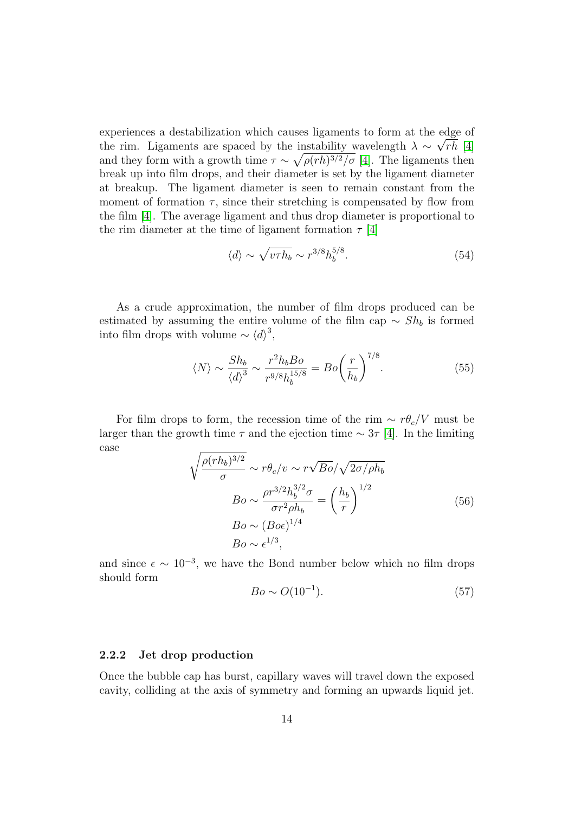experiences a destabilization which causes ligaments to form at the edge of the rim. Ligaments are spaced by the instability wavelength  $\lambda \sim \sqrt{rh}$  [\[4\]](#page-36-4) and they form with a growth time  $\tau \sim \sqrt{\rho(rh)^{3/2}/\sigma}$  [\[4\]](#page-36-4). The ligaments then break up into film drops, and their diameter is set by the ligament diameter at breakup. The ligament diameter is seen to remain constant from the moment of formation  $\tau$ , since their stretching is compensated by flow from the film [\[4\]](#page-36-4). The average ligament and thus drop diameter is proportional to the rim diameter at the time of ligament formation  $\tau$  [\[4\]](#page-36-4)

<span id="page-18-1"></span>
$$
\langle d \rangle \sim \sqrt{\nu \tau h_b} \sim r^{3/8} h_b^{5/8}.
$$
 (54)

As a crude approximation, the number of film drops produced can be estimated by assuming the entire volume of the film cap  $\sim Sh_b$  is formed into film drops with volume  $\sim \langle d \rangle^3$ ,

$$
\langle N \rangle \sim \frac{Sh_b}{\langle d \rangle^3} \sim \frac{r^2 h_b B o}{r^{9/8} h_b^{15/8}} = Bo \left(\frac{r}{h_b}\right)^{7/8}.
$$
 (55)

For film drops to form, the recession time of the rim  $\sim r \theta_c/V$  must be larger than the growth time  $\tau$  and the ejection time  $\sim 3\tau$  [\[4\]](#page-36-4). In the limiting case

$$
\sqrt{\frac{\rho(rh_b)^{3/2}}{\sigma}} \sim r\theta_c/v \sim r\sqrt{Bo}/\sqrt{2\sigma/\rho h_b}
$$

$$
Bo \sim \frac{\rho r^{3/2} h_b^{3/2} \sigma}{\sigma r^2 \rho h_b} = \left(\frac{h_b}{r}\right)^{1/2}
$$

$$
Bo \sim (Bo\epsilon)^{1/4}
$$

$$
Bo \sim \epsilon^{1/3},
$$
(56)

and since  $\epsilon \sim 10^{-3}$ , we have the Bond number below which no film drops should form

$$
Bo \sim O(10^{-1}).
$$
\n(57)

### <span id="page-18-0"></span>2.2.2 Jet drop production

Once the bubble cap has burst, capillary waves will travel down the exposed cavity, colliding at the axis of symmetry and forming an upwards liquid jet.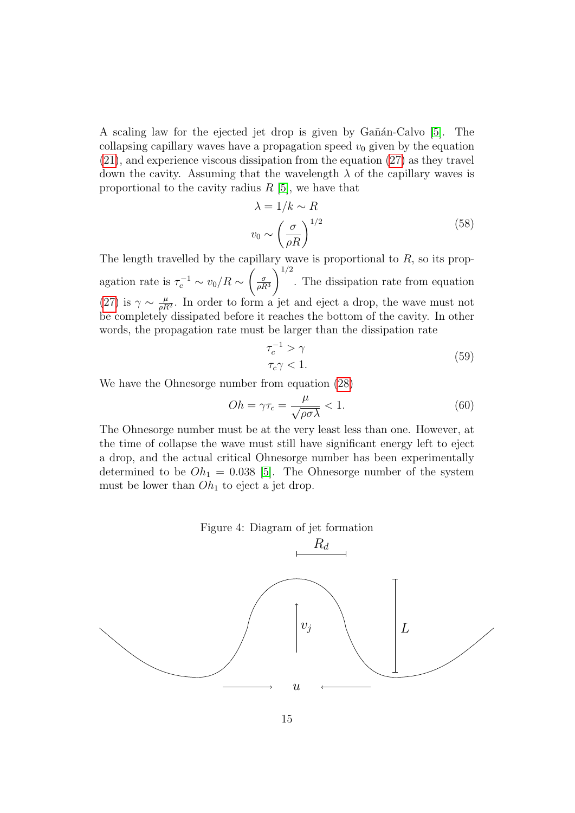A scaling law for the ejected jet drop is given by Gañán-Calvo  $[5]$ . The collapsing capillary waves have a propagation speed  $v_0$  given by the equation [\(21\)](#page-11-1), and experience viscous dissipation from the equation [\(27\)](#page-12-2) as they travel down the cavity. Assuming that the wavelength  $\lambda$  of the capillary waves is proportional to the cavity radius  $R$  [\[5\]](#page-36-5), we have that

$$
\lambda = 1/k \sim R
$$
  

$$
v_0 \sim \left(\frac{\sigma}{\rho R}\right)^{1/2}
$$
 (58)

The length travelled by the capillary wave is proportional to  $R$ , so its propagation rate is  $\tau_c^{-1} \sim v_0/R \sim$  $\int_{-\sigma}$  $\overline{\rho R^3}$  $\setminus$ <sup>1/2</sup> . The dissipation rate from equation [\(27\)](#page-12-2) is  $\gamma \sim \frac{\mu}{aB}$  $\frac{\mu}{\rho R^2}$ . In order to form a jet and eject a drop, the wave must not be completely dissipated before it reaches the bottom of the cavity. In other words, the propagation rate must be larger than the dissipation rate

$$
\tau_c^{-1} > \gamma
$$
  
\n
$$
\tau_c \gamma < 1.
$$
\n(59)

We have the Ohnesorge number from equation [\(28\)](#page-12-1)

$$
Oh = \gamma \tau_c = \frac{\mu}{\sqrt{\rho \sigma \lambda}} < 1.
$$
\n(60)

The Ohnesorge number must be at the very least less than one. However, at the time of collapse the wave must still have significant energy left to eject a drop, and the actual critical Ohnesorge number has been experimentally determined to be  $Oh<sub>1</sub> = 0.038$  [\[5\]](#page-36-5). The Ohnesorge number of the system must be lower than  $Oh<sub>1</sub>$  to eject a jet drop.

#### Figure 4: Diagram of jet formation

<span id="page-19-0"></span>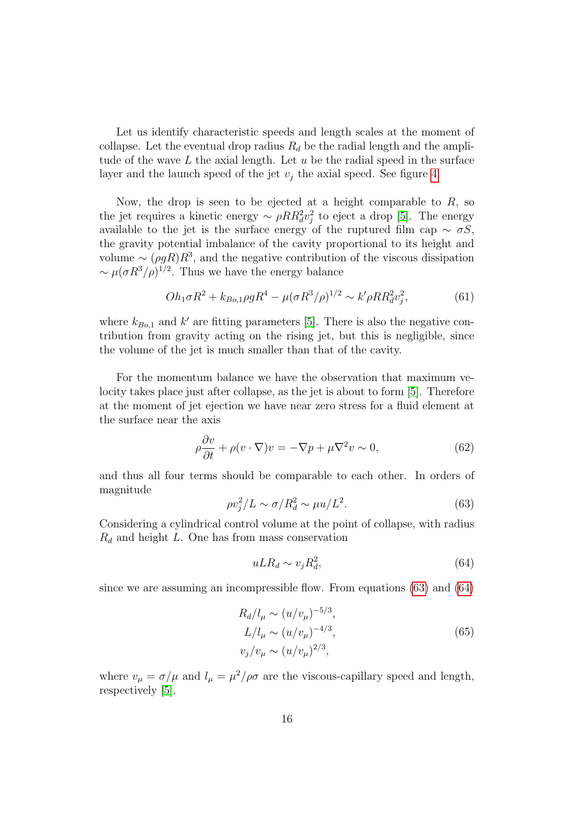Let us identify characteristic speeds and length scales at the moment of collapse. Let the eventual drop radius  $R_d$  be the radial length and the amplitude of the wave  $L$  the axial length. Let  $u$  be the radial speed in the surface layer and the launch speed of the jet  $v_i$  the axial speed. See figure [4.](#page-19-0)

Now, the drop is seen to be ejected at a height comparable to  $R$ , so the jet requires a kinetic energy  $\sim \rho RR_d^2 v_j^2$  to eject a drop [\[5\]](#page-36-5). The energy available to the jet is the surface energy of the ruptured film cap  $\sim \sigma S$ , the gravity potential imbalance of the cavity proportional to its height and volume  $\sim (\rho g R)R^3$ , and the negative contribution of the viscous dissipation  $\sim \mu (\sigma R^3/\rho)^{1/2}$ . Thus we have the energy balance

<span id="page-20-3"></span>
$$
Oh_1 \sigma R^2 + k_{Bo,1} \rho g R^4 - \mu (\sigma R^3 / \rho)^{1/2} \sim k' \rho R R_d^2 v_j^2, \tag{61}
$$

where  $k_{Bo,1}$  and k' are fitting parameters [\[5\]](#page-36-5). There is also the negative contribution from gravity acting on the rising jet, but this is negligible, since the volume of the jet is much smaller than that of the cavity.

For the momentum balance we have the observation that maximum velocity takes place just after collapse, as the jet is about to form [\[5\]](#page-36-5). Therefore at the moment of jet ejection we have near zero stress for a fluid element at the surface near the axis

$$
\rho \frac{\partial v}{\partial t} + \rho (v \cdot \nabla) v = -\nabla p + \mu \nabla^2 v \sim 0,
$$
\n(62)

and thus all four terms should be comparable to each other. In orders of magnitude

<span id="page-20-0"></span>
$$
\rho v_j^2 / L \sim \sigma / R_d^2 \sim \mu u / L^2. \tag{63}
$$

Considering a cylindrical control volume at the point of collapse, with radius  $R_d$  and height L. One has from mass conservation

<span id="page-20-1"></span>
$$
uLR_d \sim v_j R_d^2,\tag{64}
$$

since we are assuming an incompressible flow. From equations  $(63)$  and  $(64)$ 

<span id="page-20-2"></span>
$$
R_d/l_\mu \sim (u/v_\mu)^{-5/3},
$$
  
\n
$$
L/l_\mu \sim (u/v_\mu)^{-4/3},
$$
  
\n
$$
v_j/v_\mu \sim (u/v_\mu)^{2/3},
$$
\n(65)

where  $v_{\mu} = \sigma/\mu$  and  $l_{\mu} = \mu^2/\rho\sigma$  are the viscous-capillary speed and length, respectively [\[5\]](#page-36-5).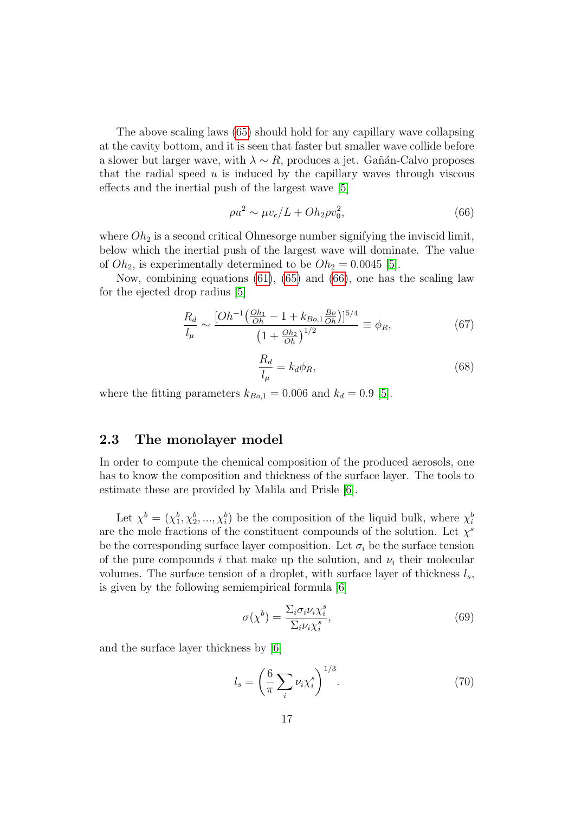The above scaling laws [\(65\)](#page-20-2) should hold for any capillary wave collapsing at the cavity bottom, and it is seen that faster but smaller wave collide before a slower but larger wave, with  $\lambda \sim R$ , produces a jet. Gañán-Calvo proposes that the radial speed  $u$  is induced by the capillary waves through viscous effects and the inertial push of the largest wave [\[5\]](#page-36-5)

<span id="page-21-1"></span>
$$
\rho u^2 \sim \mu v_c / L + O h_2 \rho v_0^2,\tag{66}
$$

where  $Oh<sub>2</sub>$  is a second critical Ohnesorge number signifying the inviscid limit, below which the inertial push of the largest wave will dominate. The value of  $Oh_2$ , is experimentally determined to be  $Oh_2 = 0.0045$  [\[5\]](#page-36-5).

Now, combining equations [\(61\)](#page-20-3), [\(65\)](#page-20-2) and [\(66\)](#page-21-1), one has the scaling law for the ejected drop radius [\[5\]](#page-36-5)

$$
\frac{R_d}{l_\mu} \sim \frac{[Oh^{-1}(\frac{Oh_1}{Oh} - 1 + k_{Bo,1} \frac{Bo}{Oh})]^{5/4}}{\left(1 + \frac{Oh_2}{Oh}\right)^{1/2}} \equiv \phi_R,\tag{67}
$$

<span id="page-21-3"></span>
$$
\frac{R_d}{l_\mu} = k_d \phi_R,\tag{68}
$$

where the fitting parameters  $k_{Bo,1} = 0.006$  and  $k_d = 0.9$  [\[5\]](#page-36-5).

## <span id="page-21-0"></span>2.3 The monolayer model

In order to compute the chemical composition of the produced aerosols, one has to know the composition and thickness of the surface layer. The tools to estimate these are provided by Malila and Prisle [\[6\]](#page-36-6).

Let  $\chi^b = (\chi_1^b, \chi_2^b, ..., \chi_i^b)$  be the composition of the liquid bulk, where  $\chi_i^b$ are the mole fractions of the constituent compounds of the solution. Let  $\chi^s$ be the corresponding surface layer composition. Let  $\sigma_i$  be the surface tension of the pure compounds i that make up the solution, and  $\nu_i$  their molecular volumes. The surface tension of a droplet, with surface layer of thickness  $l_s$ , is given by the following semiempirical formula [\[6\]](#page-36-6)

<span id="page-21-2"></span>
$$
\sigma(\chi^b) = \frac{\sum_i \sigma_i \nu_i \chi_i^s}{\sum_i \nu_i \chi_i^s},\tag{69}
$$

and the surface layer thickness by [\[6\]](#page-36-6)

<span id="page-21-4"></span>
$$
l_s = \left(\frac{6}{\pi} \sum_i \nu_i \chi_i^s\right)^{1/3}.\tag{70}
$$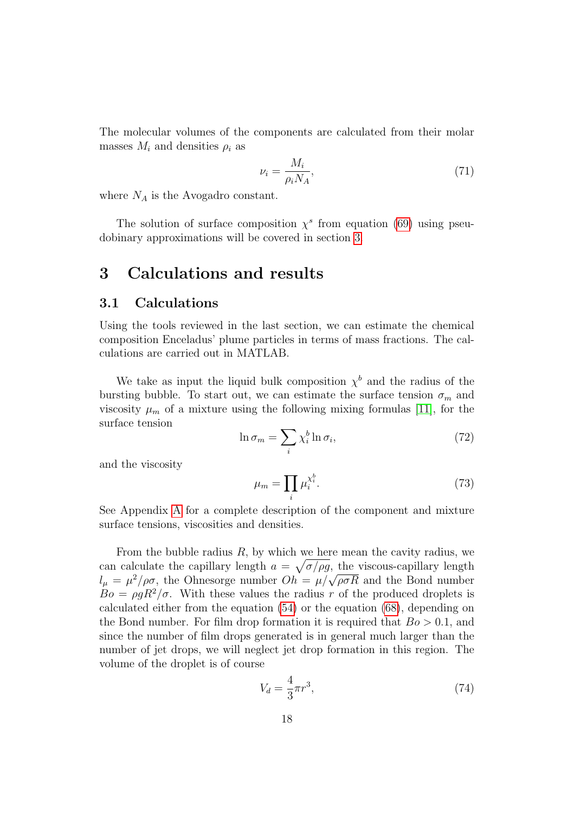The molecular volumes of the components are calculated from their molar masses  $M_i$  and densities  $\rho_i$  as

$$
\nu_i = \frac{M_i}{\rho_i N_A},\tag{71}
$$

where  $N_A$  is the Avogadro constant.

The solution of surface composition  $\chi^s$  from equation [\(69\)](#page-21-2) using pseudobinary approximations will be covered in section [3.](#page-22-0)

## <span id="page-22-0"></span>3 Calculations and results

### <span id="page-22-1"></span>3.1 Calculations

Using the tools reviewed in the last section, we can estimate the chemical composition Enceladus' plume particles in terms of mass fractions. The calculations are carried out in MATLAB.

We take as input the liquid bulk composition  $\chi^b$  and the radius of the bursting bubble. To start out, we can estimate the surface tension  $\sigma_m$  and viscosity  $\mu_m$  of a mixture using the following mixing formulas [\[11\]](#page-37-2), for the surface tension

<span id="page-22-2"></span>
$$
\ln \sigma_m = \sum_i \chi_i^b \ln \sigma_i,\tag{72}
$$

and the viscosity

<span id="page-22-3"></span>
$$
\mu_m = \prod_i \mu_i^{\chi_i^b}.\tag{73}
$$

See Appendix [A](#page-33-0) for a complete description of the component and mixture surface tensions, viscosities and densities.

From the bubble radius  $R$ , by which we here mean the cavity radius, we can calculate the capillary length  $a = \sqrt{\sigma/\rho g}$ , the viscous-capillary length can calculate the capinary length  $a = \sqrt{\sigma/\rho}g$ , the viscous-capinary length  $l_{\mu} = \mu^2/\rho\sigma$ , the Ohnesorge number  $Oh = \mu/\sqrt{\rho\sigma R}$  and the Bond number  $Bo = \rho g R^2 / \sigma$ . With these values the radius r of the produced droplets is calculated either from the equation [\(54\)](#page-18-1) or the equation [\(68\)](#page-21-3), depending on the Bond number. For film drop formation it is required that  $Bo > 0.1$ , and since the number of film drops generated is in general much larger than the number of jet drops, we will neglect jet drop formation in this region. The volume of the droplet is of course

$$
V_d = \frac{4}{3}\pi r^3,\tag{74}
$$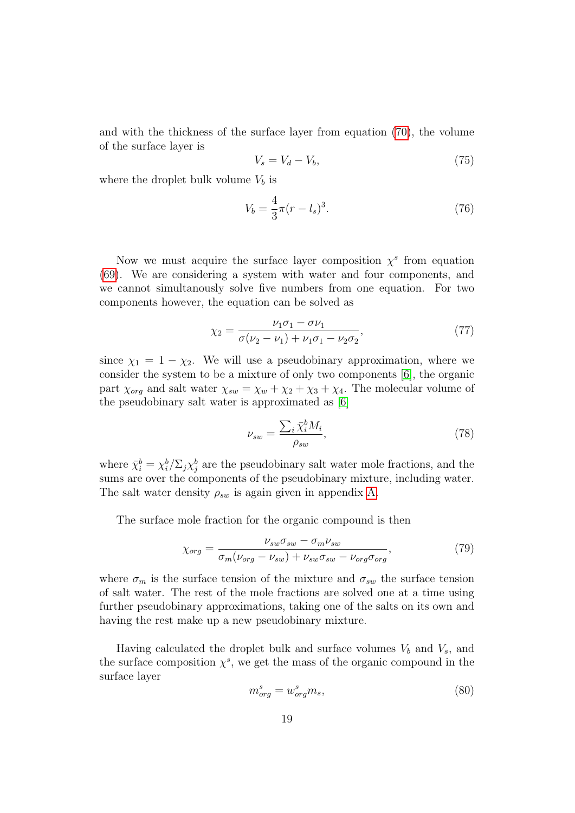and with the thickness of the surface layer from equation [\(70\)](#page-21-4), the volume of the surface layer is

$$
V_s = V_d - V_b,\t\t(75)
$$

where the droplet bulk volume  $V_b$  is

$$
V_b = \frac{4}{3}\pi (r - l_s)^3.
$$
\n(76)

Now we must acquire the surface layer composition  $\chi^s$  from equation [\(69\)](#page-21-2). We are considering a system with water and four components, and we cannot simultanously solve five numbers from one equation. For two components however, the equation can be solved as

$$
\chi_2 = \frac{\nu_1 \sigma_1 - \sigma \nu_1}{\sigma(\nu_2 - \nu_1) + \nu_1 \sigma_1 - \nu_2 \sigma_2},\tag{77}
$$

since  $\chi_1 = 1 - \chi_2$ . We will use a pseudobinary approximation, where we consider the system to be a mixture of only two components [\[6\]](#page-36-6), the organic part  $\chi_{org}$  and salt water  $\chi_{sw} = \chi_w + \chi_2 + \chi_3 + \chi_4$ . The molecular volume of the pseudobinary salt water is approximated as [\[6\]](#page-36-6)

$$
\nu_{sw} = \frac{\sum_{i} \bar{\chi}_i^b M_i}{\rho_{sw}},\tag{78}
$$

where  $\bar{\chi}_i^b = \chi_i^b / \Sigma_j \chi_j^b$  are the pseudobinary salt water mole fractions, and the sums are over the components of the pseudobinary mixture, including water. The salt water density  $\rho_{sw}$  is again given in appendix [A.](#page-33-0)

The surface mole fraction for the organic compound is then

$$
\chi_{org} = \frac{\nu_{sw}\sigma_{sw} - \sigma_m\nu_{sw}}{\sigma_m(\nu_{org} - \nu_{sw}) + \nu_{sw}\sigma_{sw} - \nu_{org}\sigma_{org}},\tag{79}
$$

where  $\sigma_m$  is the surface tension of the mixture and  $\sigma_{sw}$  the surface tension of salt water. The rest of the mole fractions are solved one at a time using further pseudobinary approximations, taking one of the salts on its own and having the rest make up a new pseudobinary mixture.

Having calculated the droplet bulk and surface volumes  $V_b$  and  $V_s$ , and the surface composition  $\chi^s$ , we get the mass of the organic compound in the surface layer

$$
m_{org}^s = w_{org}^s m_s,\tag{80}
$$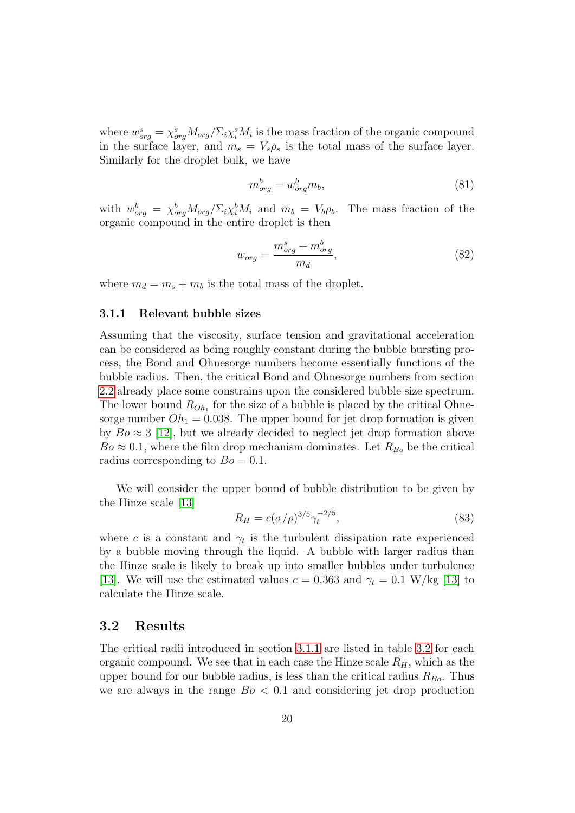where  $w_{org}^{s} = \chi_{org}^{s} M_{org} / \Sigma_{i} \chi_{i}^{s} M_{i}$  is the mass fraction of the organic compound in the surface layer, and  $m_s = V_s \rho_s$  is the total mass of the surface layer. Similarly for the droplet bulk, we have

$$
m_{org}^b = w_{org}^b m_b,\tag{81}
$$

with  $w_{org}^b = \chi_{org}^b M_{org} / \Sigma_i \chi_i^b M_i$  and  $m_b = V_b \rho_b$ . The mass fraction of the organic compound in the entire droplet is then

<span id="page-24-2"></span>
$$
w_{org} = \frac{m_{org}^s + m_{org}^b}{m_d},\tag{82}
$$

where  $m_d = m_s + m_b$  is the total mass of the droplet.

#### <span id="page-24-0"></span>3.1.1 Relevant bubble sizes

Assuming that the viscosity, surface tension and gravitational acceleration can be considered as being roughly constant during the bubble bursting process, the Bond and Ohnesorge numbers become essentially functions of the bubble radius. Then, the critical Bond and Ohnesorge numbers from section [2.2](#page-12-0) already place some constrains upon the considered bubble size spectrum. The lower bound  $R_{Oh_1}$  for the size of a bubble is placed by the critical Ohnesorge number  $Oh<sub>1</sub> = 0.038$ . The upper bound for jet drop formation is given by  $Bo \approx 3$  [\[12\]](#page-37-3), but we already decided to neglect jet drop formation above  $Bo \approx 0.1$ , where the film drop mechanism dominates. Let  $R_{Bo}$  be the critical radius corresponding to  $Bo = 0.1$ .

We will consider the upper bound of bubble distribution to be given by the Hinze scale [\[13\]](#page-37-4)

$$
R_H = c(\sigma/\rho)^{3/5} \gamma_t^{-2/5},\tag{83}
$$

where c is a constant and  $\gamma_t$  is the turbulent dissipation rate experienced by a bubble moving through the liquid. A bubble with larger radius than the Hinze scale is likely to break up into smaller bubbles under turbulence [\[13\]](#page-37-4). We will use the estimated values  $c = 0.363$  and  $\gamma_t = 0.1$  W/kg [\[13\]](#page-37-4) to calculate the Hinze scale.

## <span id="page-24-1"></span>3.2 Results

The critical radii introduced in section [3.1.1](#page-24-0) are listed in table [3.2](#page-24-1) for each organic compound. We see that in each case the Hinze scale  $R_H$ , which as the upper bound for our bubble radius, is less than the critical radius  $R_{Bo}$ . Thus we are always in the range  $Bo < 0.1$  and considering jet drop production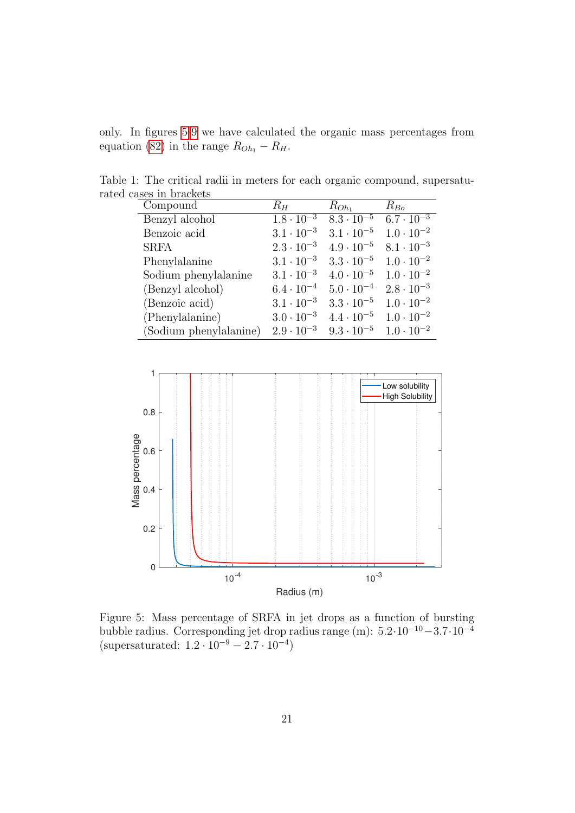only. In figures [5](#page-25-0)[-9](#page-27-0) we have calculated the organic mass percentages from equation [\(82\)](#page-24-2) in the range  $R_{Oh_1} - R_H$ .

Table 1: The critical radii in meters for each organic compound, supersaturated cases in brackets

| Compound               | $R_H$               | $R_{Oh_1}$          | $R_{Bo}$            |
|------------------------|---------------------|---------------------|---------------------|
| Benzyl alcohol         | $1.8 \cdot 10^{-3}$ | $8.3 \cdot 10^{-5}$ | $6.7 \cdot 10^{-3}$ |
| Benzoic acid           | $3.1 \cdot 10^{-3}$ | $3.1 \cdot 10^{-5}$ | $1.0 \cdot 10^{-2}$ |
| <b>SRFA</b>            | $2.3 \cdot 10^{-3}$ | $4.9 \cdot 10^{-5}$ | $8.1 \cdot 10^{-3}$ |
| Phenylalanine          | $3.1 \cdot 10^{-3}$ | $3.3 \cdot 10^{-5}$ | $1.0 \cdot 10^{-2}$ |
| Sodium phenylalanine   | $3.1 \cdot 10^{-3}$ | $4.0 \cdot 10^{-5}$ | $1.0 \cdot 10^{-2}$ |
| (Benzyl alcohol)       | $6.4 \cdot 10^{-4}$ | $5.0 \cdot 10^{-4}$ | $2.8 \cdot 10^{-3}$ |
| (Benzoic acid)         | $3.1 \cdot 10^{-3}$ | $3.3 \cdot 10^{-5}$ | $1.0 \cdot 10^{-2}$ |
| (Phenylalanine)        | $3.0 \cdot 10^{-3}$ | $4.4 \cdot 10^{-5}$ | $1.0 \cdot 10^{-2}$ |
| (Sodium phenylalanine) | $2.9 \cdot 10^{-3}$ | $9.3 \cdot 10^{-5}$ | $1.0 \cdot 10^{-2}$ |



<span id="page-25-0"></span>Figure 5: Mass percentage of SRFA in jet drops as a function of bursting bubble radius. Corresponding jet drop radius range (m):  $5.2 \cdot 10^{-10} - 3.7 \cdot 10^{-4}$ (supersaturated:  $1.2 \cdot 10^{-9} - 2.7 \cdot 10^{-4}$ )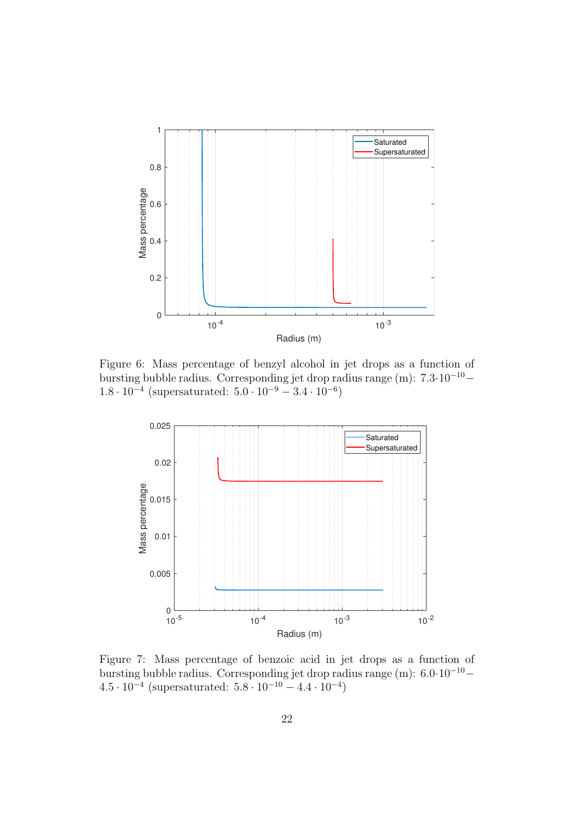

Figure 6: Mass percentage of benzyl alcohol in jet drops as a function of bursting bubble radius. Corresponding jet drop radius range (m): 7.3·10<sup>−</sup><sup>10</sup>−  $1.8 \cdot 10^{-4}$  (supersaturated:  $5.0 \cdot 10^{-9} - 3.4 \cdot 10^{-6}$ )

<span id="page-26-0"></span>

Figure 7: Mass percentage of benzoic acid in jet drops as a function of bursting bubble radius. Corresponding jet drop radius range  $(m)$ : 6.0·10<sup>-10</sup>−  $4.5 \cdot 10^{-4}$  (supersaturated:  $5.8 \cdot 10^{-10} - 4.4 \cdot 10^{-4}$ )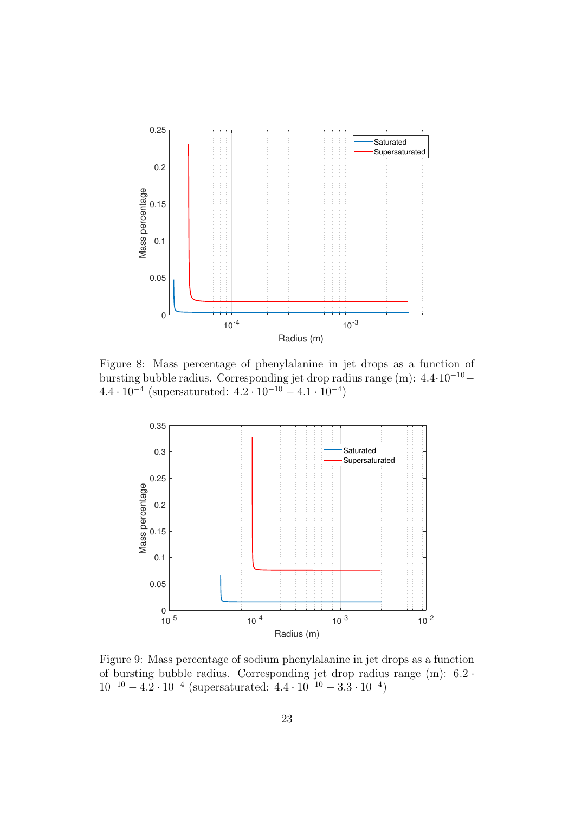

Figure 8: Mass percentage of phenylalanine in jet drops as a function of bursting bubble radius. Corresponding jet drop radius range (m): 4.4·10<sup>−</sup><sup>10</sup>−  $4.4 \cdot 10^{-4}$  (supersaturated:  $4.2 \cdot 10^{-10} - 4.1 \cdot 10^{-4}$ )



<span id="page-27-0"></span>Figure 9: Mass percentage of sodium phenylalanine in jet drops as a function of bursting bubble radius. Corresponding jet drop radius range (m): 6.2 ·  $10^{-10} - 4.2 \cdot 10^{-4}$  (supersaturated:  $4.4 \cdot 10^{-10} - 3.3 \cdot 10^{-4}$ )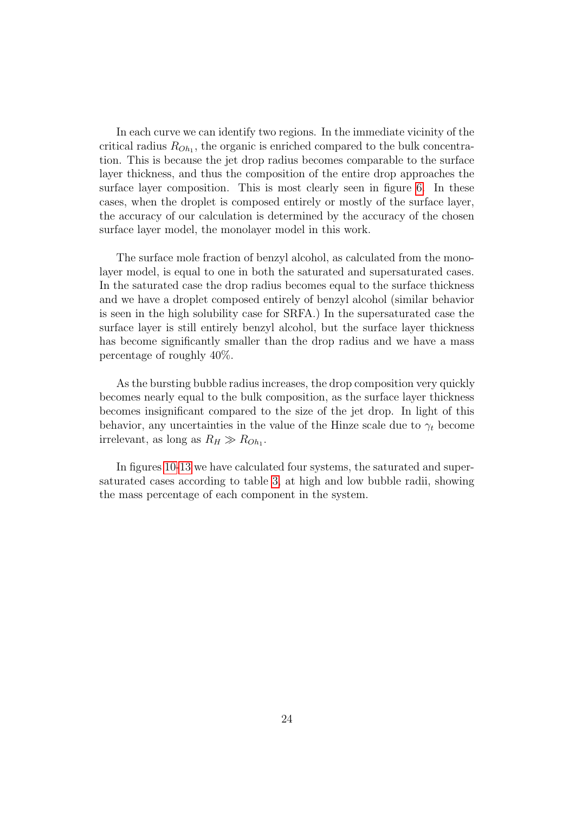In each curve we can identify two regions. In the immediate vicinity of the critical radius  $R_{Oh_1}$ , the organic is enriched compared to the bulk concentration. This is because the jet drop radius becomes comparable to the surface layer thickness, and thus the composition of the entire drop approaches the surface layer composition. This is most clearly seen in figure [6.](#page-26-0) In these cases, when the droplet is composed entirely or mostly of the surface layer, the accuracy of our calculation is determined by the accuracy of the chosen surface layer model, the monolayer model in this work.

The surface mole fraction of benzyl alcohol, as calculated from the monolayer model, is equal to one in both the saturated and supersaturated cases. In the saturated case the drop radius becomes equal to the surface thickness and we have a droplet composed entirely of benzyl alcohol (similar behavior is seen in the high solubility case for SRFA.) In the supersaturated case the surface layer is still entirely benzyl alcohol, but the surface layer thickness has become significantly smaller than the drop radius and we have a mass percentage of roughly 40%.

As the bursting bubble radius increases, the drop composition very quickly becomes nearly equal to the bulk composition, as the surface layer thickness becomes insignificant compared to the size of the jet drop. In light of this behavior, any uncertainties in the value of the Hinze scale due to  $\gamma_t$  become irrelevant, as long as  $R_H \gg R_{Oh_1}$ .

In figures [10](#page-29-0)[-13](#page-30-0) we have calculated four systems, the saturated and supersaturated cases according to table [3,](#page-36-0) at high and low bubble radii, showing the mass percentage of each component in the system.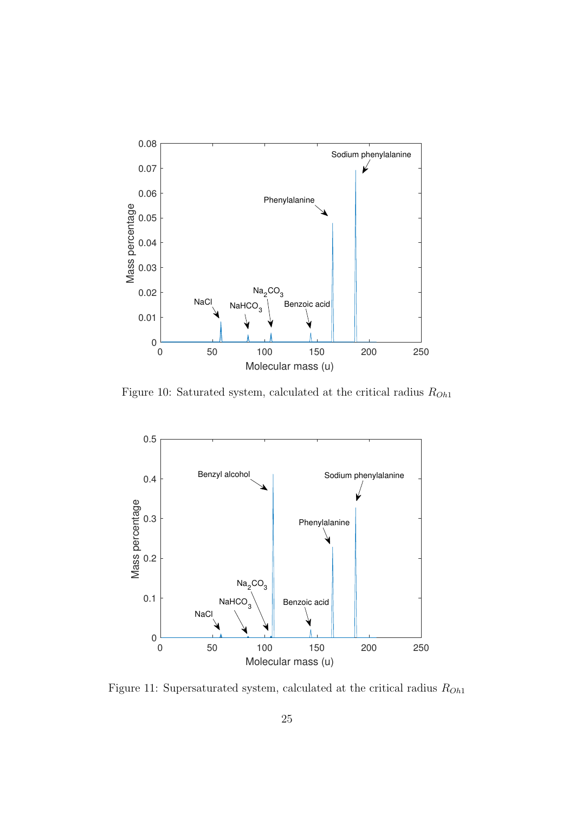

<span id="page-29-0"></span>Figure 10: Saturated system, calculated at the critical radius  $R_{Oh1}$ 



<span id="page-29-1"></span>Figure 11: Supersaturated system, calculated at the critical radius  $\mathcal{R}_{Oh1}$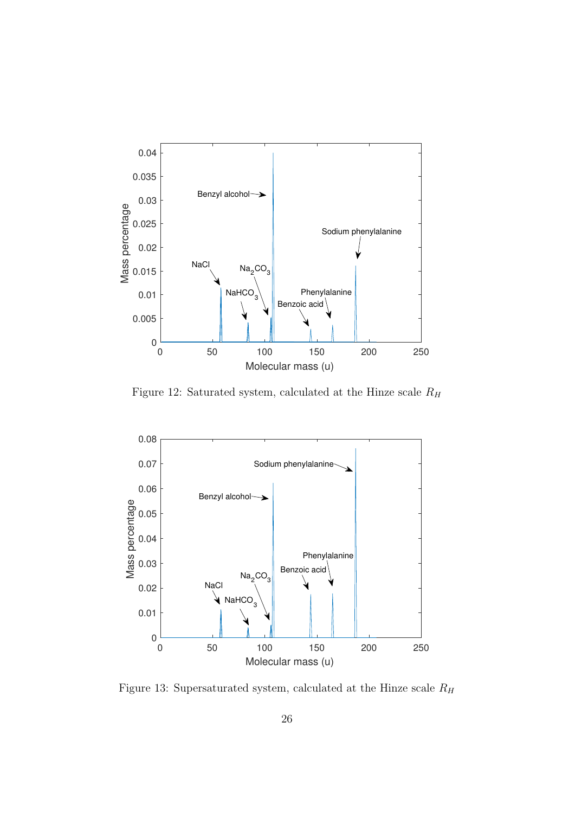

<span id="page-30-1"></span>Figure 12: Saturated system, calculated at the Hinze scale  $R_H$ 



<span id="page-30-0"></span>Figure 13: Supersaturated system, calculated at the Hinze scale  $\mathcal{R}_H$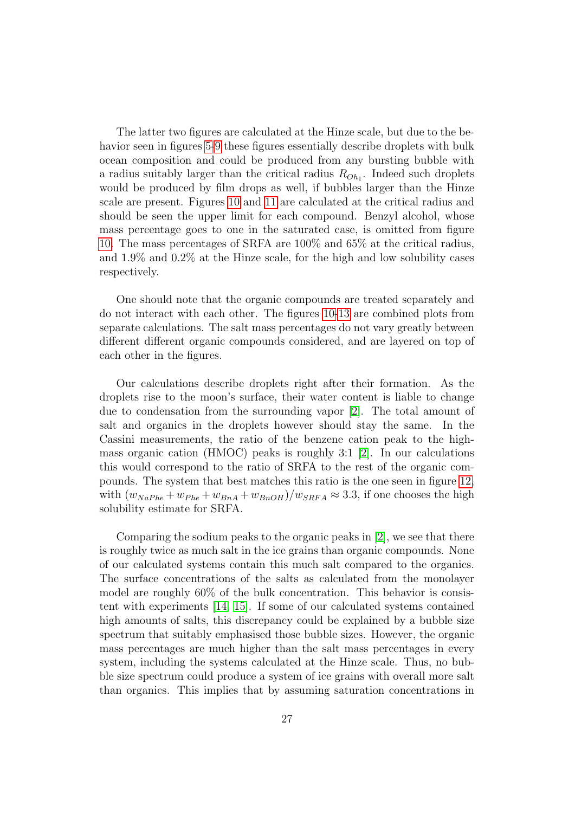The latter two figures are calculated at the Hinze scale, but due to the behavior seen in figures [5-](#page-25-0)[9](#page-27-0) these figures essentially describe droplets with bulk ocean composition and could be produced from any bursting bubble with a radius suitably larger than the critical radius  $R_{Oh_1}$ . Indeed such droplets would be produced by film drops as well, if bubbles larger than the Hinze scale are present. Figures [10](#page-29-0) and [11](#page-29-1) are calculated at the critical radius and should be seen the upper limit for each compound. Benzyl alcohol, whose mass percentage goes to one in the saturated case, is omitted from figure [10.](#page-29-0) The mass percentages of SRFA are 100% and 65% at the critical radius, and 1.9% and 0.2% at the Hinze scale, for the high and low solubility cases respectively.

One should note that the organic compounds are treated separately and do not interact with each other. The figures [10-](#page-29-0)[13](#page-30-0) are combined plots from separate calculations. The salt mass percentages do not vary greatly between different different organic compounds considered, and are layered on top of each other in the figures.

Our calculations describe droplets right after their formation. As the droplets rise to the moon's surface, their water content is liable to change due to condensation from the surrounding vapor [\[2\]](#page-36-2). The total amount of salt and organics in the droplets however should stay the same. In the Cassini measurements, the ratio of the benzene cation peak to the highmass organic cation (HMOC) peaks is roughly 3:1 [\[2\]](#page-36-2). In our calculations this would correspond to the ratio of SRFA to the rest of the organic compounds. The system that best matches this ratio is the one seen in figure [12,](#page-30-1) with  $(w_{NaPhe} + w_{Phe} + w_{BnA} + w_{BnOH})/w_{SRFA} \approx 3.3$ , if one chooses the high solubility estimate for SRFA.

Comparing the sodium peaks to the organic peaks in [\[2\]](#page-36-2), we see that there is roughly twice as much salt in the ice grains than organic compounds. None of our calculated systems contain this much salt compared to the organics. The surface concentrations of the salts as calculated from the monolayer model are roughly 60% of the bulk concentration. This behavior is consistent with experiments [\[14,](#page-37-5) [15\]](#page-37-6). If some of our calculated systems contained high amounts of salts, this discrepancy could be explained by a bubble size spectrum that suitably emphasised those bubble sizes. However, the organic mass percentages are much higher than the salt mass percentages in every system, including the systems calculated at the Hinze scale. Thus, no bubble size spectrum could produce a system of ice grains with overall more salt than organics. This implies that by assuming saturation concentrations in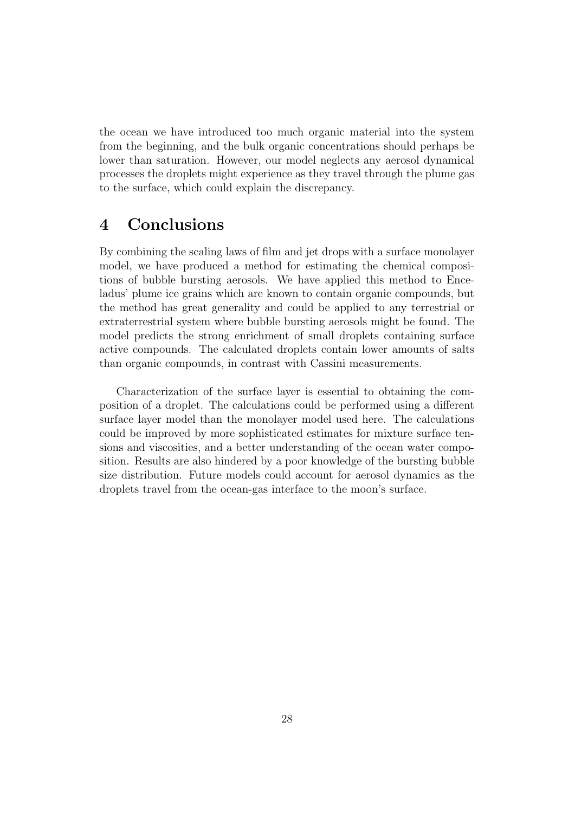the ocean we have introduced too much organic material into the system from the beginning, and the bulk organic concentrations should perhaps be lower than saturation. However, our model neglects any aerosol dynamical processes the droplets might experience as they travel through the plume gas to the surface, which could explain the discrepancy.

## <span id="page-32-0"></span>4 Conclusions

By combining the scaling laws of film and jet drops with a surface monolayer model, we have produced a method for estimating the chemical compositions of bubble bursting aerosols. We have applied this method to Enceladus' plume ice grains which are known to contain organic compounds, but the method has great generality and could be applied to any terrestrial or extraterrestrial system where bubble bursting aerosols might be found. The model predicts the strong enrichment of small droplets containing surface active compounds. The calculated droplets contain lower amounts of salts than organic compounds, in contrast with Cassini measurements.

Characterization of the surface layer is essential to obtaining the composition of a droplet. The calculations could be performed using a different surface layer model than the monolayer model used here. The calculations could be improved by more sophisticated estimates for mixture surface tensions and viscosities, and a better understanding of the ocean water composition. Results are also hindered by a poor knowledge of the bursting bubble size distribution. Future models could account for aerosol dynamics as the droplets travel from the ocean-gas interface to the moon's surface.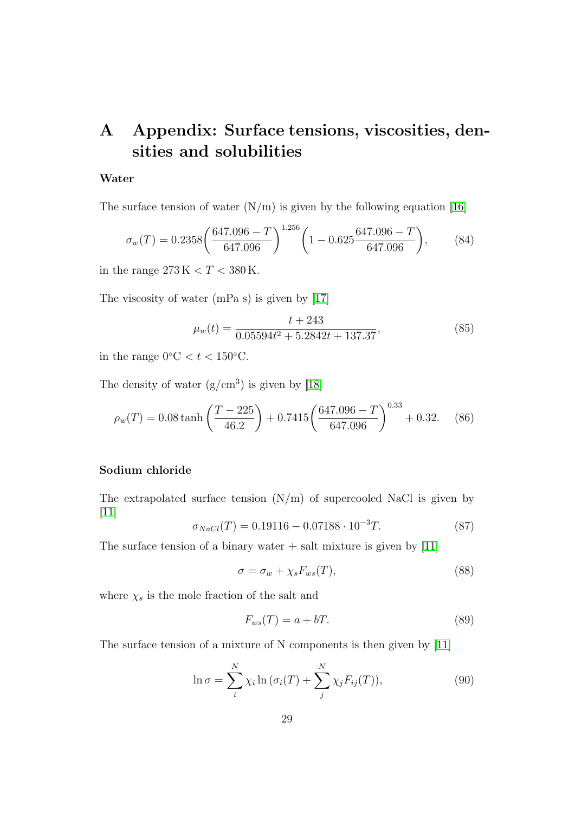# <span id="page-33-0"></span>A Appendix: Surface tensions, viscosities, densities and solubilities

#### Water

The surface tension of water  $(N/m)$  is given by the following equation [\[16\]](#page-37-7)

$$
\sigma_w(T) = 0.2358 \left( \frac{647.096 - T}{647.096} \right)^{1.256} \left( 1 - 0.625 \frac{647.096 - T}{647.096} \right), \tag{84}
$$

in the range  $273 K < T < 380 K$ .

The viscosity of water (mPa s) is given by [\[17\]](#page-37-8)

$$
\mu_w(t) = \frac{t + 243}{0.05594t^2 + 5.2842t + 137.37},\tag{85}
$$

in the range  $0^{\circ}C < t < 150^{\circ}C$ .

The density of water  $(g/cm^3)$  is given by [\[18\]](#page-37-9)

$$
\rho_w(T) = 0.08 \tanh\left(\frac{T - 225}{46.2}\right) + 0.7415 \left(\frac{647.096 - T}{647.096}\right)^{0.33} + 0.32. \tag{86}
$$

## Sodium chloride

The extrapolated surface tension  $(N/m)$  of supercooled NaCl is given by [\[11\]](#page-37-2)

$$
\sigma_{NaCl}(T) = 0.19116 - 0.07188 \cdot 10^{-3} T. \tag{87}
$$

The surface tension of a binary water  $+$  salt mixture is given by [\[11\]](#page-37-2)

<span id="page-33-1"></span>
$$
\sigma = \sigma_w + \chi_s F_{ws}(T),\tag{88}
$$

where  $\chi_s$  is the mole fraction of the salt and

$$
F_{ws}(T) = a + bT.
$$
\n(89)

The surface tension of a mixture of N components is then given by [\[11\]](#page-37-2)

$$
\ln \sigma = \sum_{i}^{N} \chi_i \ln \left( \sigma_i(T) + \sum_{j}^{N} \chi_j F_{ij}(T) \right), \tag{90}
$$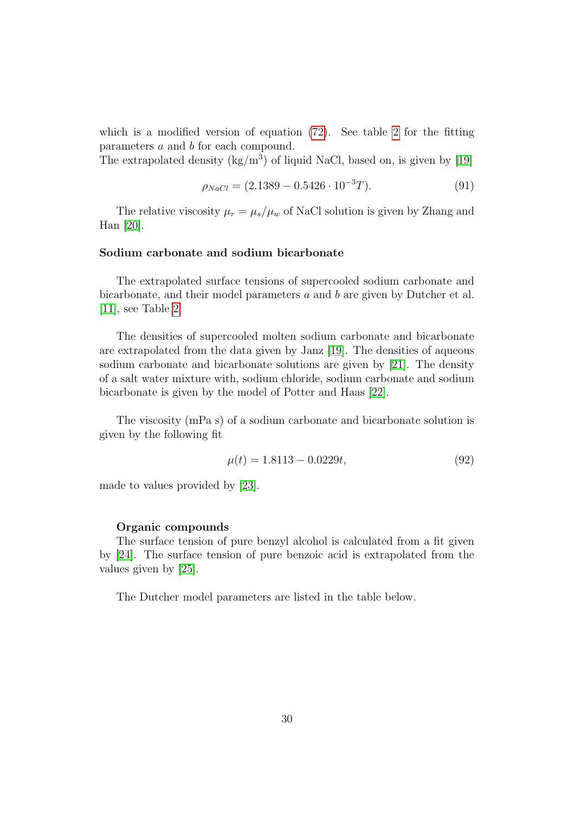which is a modified version of equation [\(72\)](#page-22-2). See table [2](#page-35-0) for the fitting parameters a and b for each compound.

The extrapolated density  $(kg/m^3)$  of liquid NaCl, based on, is given by [\[19\]](#page-37-10)

$$
\rho_{NaCl} = (2.1389 - 0.5426 \cdot 10^{-3} T). \tag{91}
$$

The relative viscosity  $\mu_r = \mu_s/\mu_w$  of NaCl solution is given by Zhang and Han [\[20\]](#page-38-0).

#### Sodium carbonate and sodium bicarbonate

The extrapolated surface tensions of supercooled sodium carbonate and bicarbonate, and their model parameters  $a$  and  $b$  are given by Dutcher et al. [\[11\]](#page-37-2), see Table [2.](#page-35-0)

The densities of supercooled molten sodium carbonate and bicarbonate are extrapolated from the data given by Janz [\[19\]](#page-37-10). The densities of aqueous sodium carbonate and bicarbonate solutions are given by [\[21\]](#page-38-1). The density of a salt water mixture with, sodium chloride, sodium carbonate and sodium bicarbonate is given by the model of Potter and Haas [\[22\]](#page-38-2).

The viscosity (mPa s) of a sodium carbonate and bicarbonate solution is given by the following fit

$$
\mu(t) = 1.8113 - 0.0229t,\tag{92}
$$

made to values provided by [\[23\]](#page-38-3).

#### Organic compounds

The surface tension of pure benzyl alcohol is calculated from a fit given by [\[24\]](#page-38-4). The surface tension of pure benzoic acid is extrapolated from the values given by [\[25\]](#page-38-5).

The Dutcher model parameters are listed in the table below.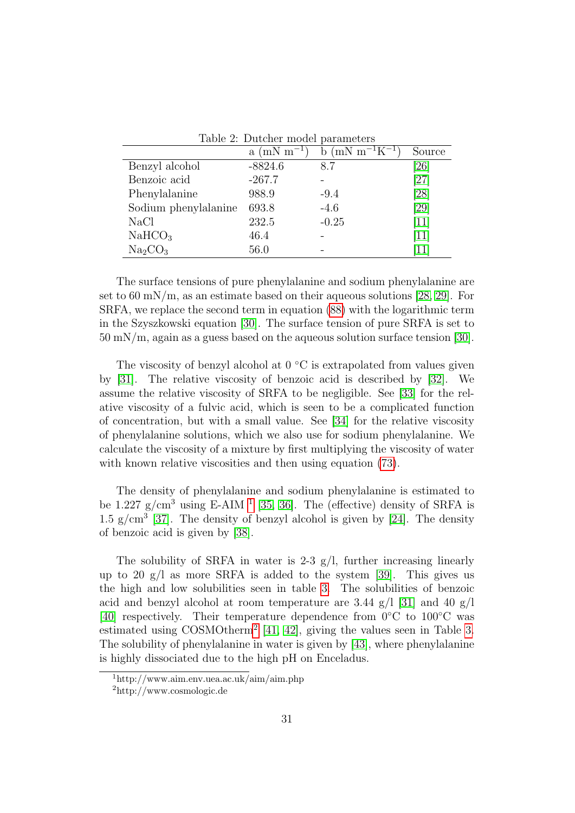<span id="page-35-0"></span>

|                                 | $a (mN m^{-1})$ | b (mN m <sup>-1</sup> K <sup>-1</sup> ) | Source                       |
|---------------------------------|-----------------|-----------------------------------------|------------------------------|
| Benzyl alcohol                  | $-8824.6$       | 8.7                                     | [26]                         |
| Benzoic acid                    | $-267.7$        |                                         | $\left[ 27\right]$           |
| Phenylalanine                   | 988.9           | $-9.4$                                  | [28]                         |
| Sodium phenylalanine            | 693.8           | $-4.6$                                  | [29]                         |
| <b>NaCl</b>                     | 232.5           | $-0.25$                                 | $\vert 11 \vert$             |
| NaHCO <sub>3</sub>              | 46.4            |                                         | $\left\lceil 11\right\rceil$ |
| Na <sub>2</sub> CO <sub>3</sub> | 56.0            |                                         | <sup>11</sup>                |

Table 2: Dutcher model parameters

The surface tensions of pure phenylalanine and sodium phenylalanine are set to 60 mN/m, as an estimate based on their aqueous solutions  $[28, 29]$  $[28, 29]$ . For SRFA, we replace the second term in equation [\(88\)](#page-33-1) with the logarithmic term in the Szyszkowski equation [\[30\]](#page-39-0). The surface tension of pure SRFA is set to 50 mN/m, again as a guess based on the aqueous solution surface tension [\[30\]](#page-39-0).

The viscosity of benzyl alcohol at  $0 °C$  is extrapolated from values given by [\[31\]](#page-39-1). The relative viscosity of benzoic acid is described by [\[32\]](#page-39-2). We assume the relative viscosity of SRFA to be negligible. See [\[33\]](#page-39-3) for the relative viscosity of a fulvic acid, which is seen to be a complicated function of concentration, but with a small value. See [\[34\]](#page-39-4) for the relative viscosity of phenylalanine solutions, which we also use for sodium phenylalanine. We calculate the viscosity of a mixture by first multiplying the viscosity of water with known relative viscosities and then using equation  $(73)$ .

The density of phenylalanine and sodium phenylalanine is estimated to be [1](#page--1-0).227  $g/cm^3$  using E-AIM <sup>1</sup> [\[35,](#page-39-5) [36\]](#page-39-6). The (effective) density of SRFA is 1.5  $g/cm<sup>3</sup>$  [\[37\]](#page-39-7). The density of benzyl alcohol is given by [\[24\]](#page-38-4). The density of benzoic acid is given by [\[38\]](#page-40-0).

The solubility of SRFA in water is 2-3  $g/l$ , further increasing linearly up to 20 g/l as more SRFA is added to the system [\[39\]](#page-40-1). This gives us the high and low solubilities seen in table [3.](#page-36-0) The solubilities of benzoic acid and benzyl alcohol at room temperature are 3.44  $g/1$  [\[31\]](#page-39-1) and 40  $g/1$ [\[40\]](#page-40-2) respectively. Their temperature dependence from 0◦C to 100◦C was estimated using COSMOtherm<sup>[2](#page--1-0)</sup> [\[41,](#page-40-3) [42\]](#page-40-4), giving the values seen in Table [3.](#page-36-0) The solubility of phenylalanine in water is given by [\[43\]](#page-40-5), where phenylalanine is highly dissociated due to the high pH on Enceladus.

<sup>1</sup>http://www.aim.env.uea.ac.uk/aim/aim.php

<sup>2</sup>http://www.cosmologic.de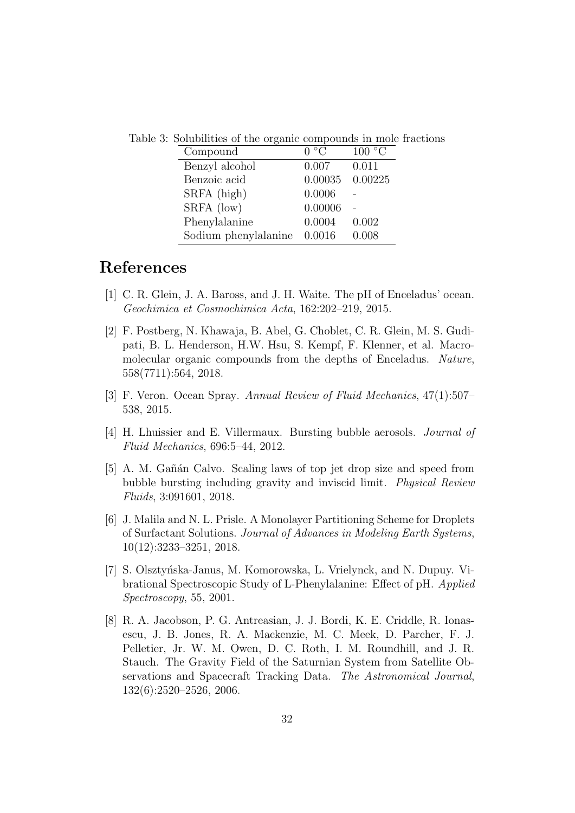| Compound             | 0 °C                | 100 °C |
|----------------------|---------------------|--------|
| Benzyl alcohol       | 0.007               | 0.011  |
| Benzoic acid         | $0.00035$ $0.00225$ |        |
| SRFA (high)          | 0.0006              |        |
| SRFA (low)           | 0.00006             |        |
| Phenylalanine        | 0.0004              | 0.002  |
| Sodium phenylalanine | 0.0016              | 0.008  |

<span id="page-36-0"></span>Table 3: Solubilities of the organic compounds in mole fractions

## References

- <span id="page-36-1"></span>[1] C. R. Glein, J. A. Baross, and J. H. Waite. The pH of Enceladus' ocean. Geochimica et Cosmochimica Acta, 162:202–219, 2015.
- <span id="page-36-2"></span>[2] F. Postberg, N. Khawaja, B. Abel, G. Choblet, C. R. Glein, M. S. Gudipati, B. L. Henderson, H.W. Hsu, S. Kempf, F. Klenner, et al. Macromolecular organic compounds from the depths of Enceladus. Nature, 558(7711):564, 2018.
- <span id="page-36-3"></span>[3] F. Veron. Ocean Spray. Annual Review of Fluid Mechanics, 47(1):507– 538, 2015.
- <span id="page-36-4"></span>[4] H. Lhuissier and E. Villermaux. Bursting bubble aerosols. Journal of Fluid Mechanics, 696:5–44, 2012.
- <span id="page-36-5"></span>[5] A. M. Gañán Calvo. Scaling laws of top jet drop size and speed from bubble bursting including gravity and inviscid limit. Physical Review Fluids, 3:091601, 2018.
- <span id="page-36-6"></span>[6] J. Malila and N. L. Prisle. A Monolayer Partitioning Scheme for Droplets of Surfactant Solutions. Journal of Advances in Modeling Earth Systems, 10(12):3233–3251, 2018.
- <span id="page-36-7"></span>[7] S. Olsztyńska-Janus, M. Komorowska, L. Vrielynck, and N. Dupuy. Vibrational Spectroscopic Study of L-Phenylalanine: Effect of pH. Applied Spectroscopy, 55, 2001.
- <span id="page-36-8"></span>[8] R. A. Jacobson, P. G. Antreasian, J. J. Bordi, K. E. Criddle, R. Ionasescu, J. B. Jones, R. A. Mackenzie, M. C. Meek, D. Parcher, F. J. Pelletier, Jr. W. M. Owen, D. C. Roth, I. M. Roundhill, and J. R. Stauch. The Gravity Field of the Saturnian System from Satellite Observations and Spacecraft Tracking Data. The Astronomical Journal, 132(6):2520–2526, 2006.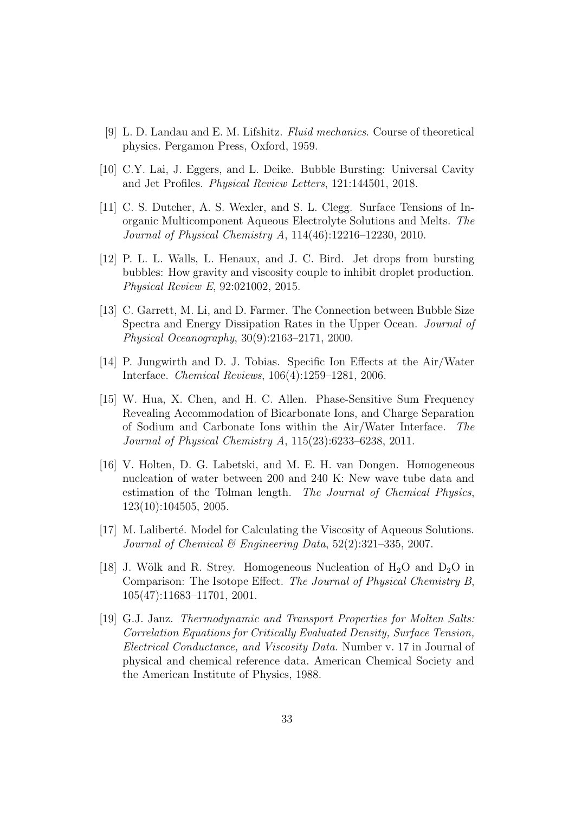- <span id="page-37-0"></span>[9] L. D. Landau and E. M. Lifshitz. Fluid mechanics. Course of theoretical physics. Pergamon Press, Oxford, 1959.
- <span id="page-37-1"></span>[10] C.Y. Lai, J. Eggers, and L. Deike. Bubble Bursting: Universal Cavity and Jet Profiles. Physical Review Letters, 121:144501, 2018.
- <span id="page-37-2"></span>[11] C. S. Dutcher, A. S. Wexler, and S. L. Clegg. Surface Tensions of Inorganic Multicomponent Aqueous Electrolyte Solutions and Melts. The Journal of Physical Chemistry A, 114(46):12216–12230, 2010.
- <span id="page-37-3"></span>[12] P. L. L. Walls, L. Henaux, and J. C. Bird. Jet drops from bursting bubbles: How gravity and viscosity couple to inhibit droplet production. Physical Review E, 92:021002, 2015.
- <span id="page-37-4"></span>[13] C. Garrett, M. Li, and D. Farmer. The Connection between Bubble Size Spectra and Energy Dissipation Rates in the Upper Ocean. Journal of Physical Oceanography, 30(9):2163–2171, 2000.
- <span id="page-37-5"></span>[14] P. Jungwirth and D. J. Tobias. Specific Ion Effects at the Air/Water Interface. Chemical Reviews, 106(4):1259–1281, 2006.
- <span id="page-37-6"></span>[15] W. Hua, X. Chen, and H. C. Allen. Phase-Sensitive Sum Frequency Revealing Accommodation of Bicarbonate Ions, and Charge Separation of Sodium and Carbonate Ions within the Air/Water Interface. The Journal of Physical Chemistry A, 115(23):6233–6238, 2011.
- <span id="page-37-7"></span>[16] V. Holten, D. G. Labetski, and M. E. H. van Dongen. Homogeneous nucleation of water between 200 and 240 K: New wave tube data and estimation of the Tolman length. The Journal of Chemical Physics, 123(10):104505, 2005.
- <span id="page-37-8"></span>[17] M. Laliberté. Model for Calculating the Viscosity of Aqueous Solutions. Journal of Chemical & Engineering Data,  $52(2):321-335$ , 2007.
- <span id="page-37-9"></span>[18] J. Wölk and R. Strey. Homogeneous Nucleation of  $H_2O$  and  $D_2O$  in Comparison: The Isotope Effect. The Journal of Physical Chemistry B, 105(47):11683–11701, 2001.
- <span id="page-37-10"></span>[19] G.J. Janz. Thermodynamic and Transport Properties for Molten Salts: Correlation Equations for Critically Evaluated Density, Surface Tension, Electrical Conductance, and Viscosity Data. Number v. 17 in Journal of physical and chemical reference data. American Chemical Society and the American Institute of Physics, 1988.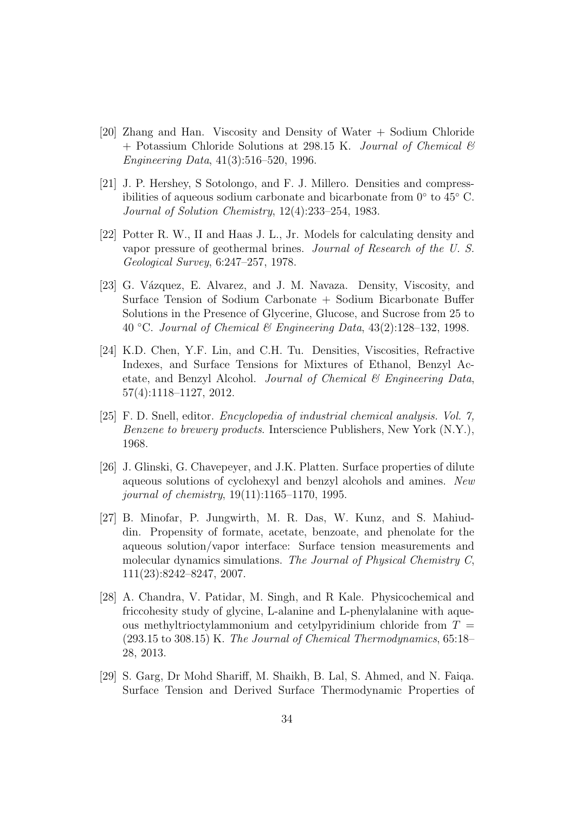- <span id="page-38-0"></span>[20] Zhang and Han. Viscosity and Density of Water + Sodium Chloride  $+$  Potassium Chloride Solutions at 298.15 K. Journal of Chemical  $\mathcal{B}$ Engineering Data, 41(3):516–520, 1996.
- <span id="page-38-1"></span>[21] J. P. Hershey, S Sotolongo, and F. J. Millero. Densities and compressibilities of aqueous sodium carbonate and bicarbonate from 0◦ to 45◦ C. Journal of Solution Chemistry, 12(4):233–254, 1983.
- <span id="page-38-2"></span>[22] Potter R. W., II and Haas J. L., Jr. Models for calculating density and vapor pressure of geothermal brines. Journal of Research of the U. S. Geological Survey, 6:247–257, 1978.
- <span id="page-38-3"></span>[23] G. Vázquez, E. Alvarez, and J. M. Navaza. Density, Viscosity, and Surface Tension of Sodium Carbonate + Sodium Bicarbonate Buffer Solutions in the Presence of Glycerine, Glucose, and Sucrose from 25 to 40 °C. Journal of Chemical & Engineering Data,  $43(2):128-132$ , 1998.
- <span id="page-38-4"></span>[24] K.D. Chen, Y.F. Lin, and C.H. Tu. Densities, Viscosities, Refractive Indexes, and Surface Tensions for Mixtures of Ethanol, Benzyl Acetate, and Benzyl Alcohol. Journal of Chemical  $\mathcal B$  Engineering Data, 57(4):1118–1127, 2012.
- <span id="page-38-5"></span>[25] F. D. Snell, editor. Encyclopedia of industrial chemical analysis. Vol. 7, Benzene to brewery products. Interscience Publishers, New York (N.Y.), 1968.
- <span id="page-38-6"></span>[26] J. Glinski, G. Chavepeyer, and J.K. Platten. Surface properties of dilute aqueous solutions of cyclohexyl and benzyl alcohols and amines. New journal of chemistry, 19(11):1165–1170, 1995.
- <span id="page-38-7"></span>[27] B. Minofar, P. Jungwirth, M. R. Das, W. Kunz, and S. Mahiuddin. Propensity of formate, acetate, benzoate, and phenolate for the aqueous solution/vapor interface: Surface tension measurements and molecular dynamics simulations. The Journal of Physical Chemistry C, 111(23):8242–8247, 2007.
- <span id="page-38-8"></span>[28] A. Chandra, V. Patidar, M. Singh, and R Kale. Physicochemical and friccohesity study of glycine, L-alanine and L-phenylalanine with aqueous methyltrioctylammonium and cetylpyridinium chloride from  $T =$ (293.15 to 308.15) K. The Journal of Chemical Thermodynamics, 65:18– 28, 2013.
- <span id="page-38-9"></span>[29] S. Garg, Dr Mohd Shariff, M. Shaikh, B. Lal, S. Ahmed, and N. Faiqa. Surface Tension and Derived Surface Thermodynamic Properties of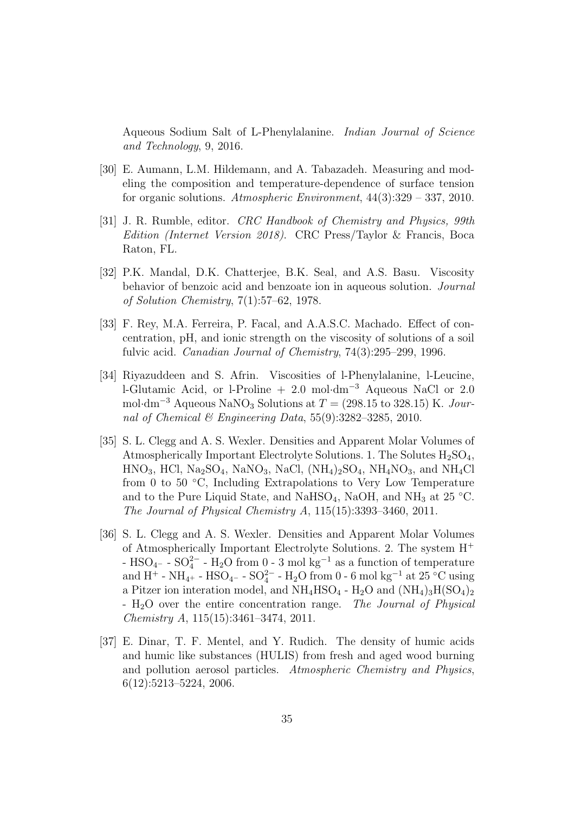Aqueous Sodium Salt of L-Phenylalanine. Indian Journal of Science and Technology, 9, 2016.

- <span id="page-39-0"></span>[30] E. Aumann, L.M. Hildemann, and A. Tabazadeh. Measuring and modeling the composition and temperature-dependence of surface tension for organic solutions. Atmospheric Environment,  $44(3):329 - 337, 2010$ .
- <span id="page-39-1"></span>[31] J. R. Rumble, editor. CRC Handbook of Chemistry and Physics, 99th Edition (Internet Version 2018). CRC Press/Taylor & Francis, Boca Raton, FL.
- <span id="page-39-2"></span>[32] P.K. Mandal, D.K. Chatterjee, B.K. Seal, and A.S. Basu. Viscosity behavior of benzoic acid and benzoate ion in aqueous solution. Journal of Solution Chemistry, 7(1):57–62, 1978.
- <span id="page-39-3"></span>[33] F. Rey, M.A. Ferreira, P. Facal, and A.A.S.C. Machado. Effect of concentration, pH, and ionic strength on the viscosity of solutions of a soil fulvic acid. *Canadian Journal of Chemistry*, 74(3):295–299, 1996.
- <span id="page-39-4"></span>[34] Riyazuddeen and S. Afrin. Viscosities of l-Phenylalanine, l-Leucine, l-Glutamic Acid, or l-Proline + 2.0 mol·dm<sup>−</sup><sup>3</sup> Aqueous NaCl or 2.0 mol·dm<sup>-3</sup> Aqueous NaNO<sub>3</sub> Solutions at  $T = (298.15 \text{ to } 328.15) \text{ K}$ . Journal of Chemical & Engineering Data,  $55(9)$ : 3282-3285, 2010.
- <span id="page-39-5"></span>[35] S. L. Clegg and A. S. Wexler. Densities and Apparent Molar Volumes of Atmospherically Important Electrolyte Solutions. 1. The Solutes  $H_2SO_4$ ,  $HNO<sub>3</sub>$ , HCl, Na<sub>2</sub>SO<sub>4</sub>, NaNO<sub>3</sub>, NaCl, (NH<sub>4</sub>)<sub>2</sub>SO<sub>4</sub>, NH<sub>4</sub>NO<sub>3</sub>, and NH<sub>4</sub>Cl from 0 to 50 ◦C, Including Extrapolations to Very Low Temperature and to the Pure Liquid State, and NaHSO<sub>4</sub>, NaOH, and NH<sub>3</sub> at 25 °C. The Journal of Physical Chemistry A, 115(15):3393–3460, 2011.
- <span id="page-39-6"></span>[36] S. L. Clegg and A. S. Wexler. Densities and Apparent Molar Volumes of Atmospherically Important Electrolyte Solutions. 2. The system H<sup>+</sup> - HSO<sub>4</sub><sup>-</sup> - SO<sup>2</sup><sup>-</sup> - H<sub>2</sub>O from 0 - 3 mol kg<sup>-1</sup> as a function of temperature and H<sup>+</sup> - NH<sub>4</sub>+ - HSO<sub>4</sub>− - SO<sup>2</sup><sup>−</sup> - H<sub>2</sub>O from 0 - 6 mol kg<sup>-1</sup> at 25 °C using a Pitzer ion interation model, and  $\rm NH_4HSO_4$  -  $\rm H_2O$  and  $(\rm NH_4)_3H(\rm SO_4)_2$ - H<sub>2</sub>O over the entire concentration range. The Journal of Physical Chemistry A, 115(15):3461–3474, 2011.
- <span id="page-39-7"></span>[37] E. Dinar, T. F. Mentel, and Y. Rudich. The density of humic acids and humic like substances (HULIS) from fresh and aged wood burning and pollution aerosol particles. Atmospheric Chemistry and Physics, 6(12):5213–5224, 2006.